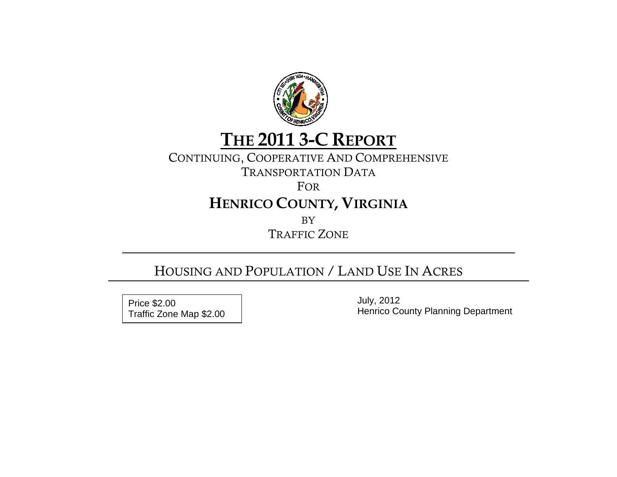

# **THE 2011 3-C REPORT**

# CONTINUING, COOPERATIVE AND COMPREHENSIVE

TRANSPORTATION DATA

FOR

# **HENRICO COUNTY, VIRGINIA**

BY

TRAFFIC ZONE

# HOUSING AND POPULATION / LAND USE IN ACRES

 July, 2012 Price \$2.00 Traffic Zone Map \$2.00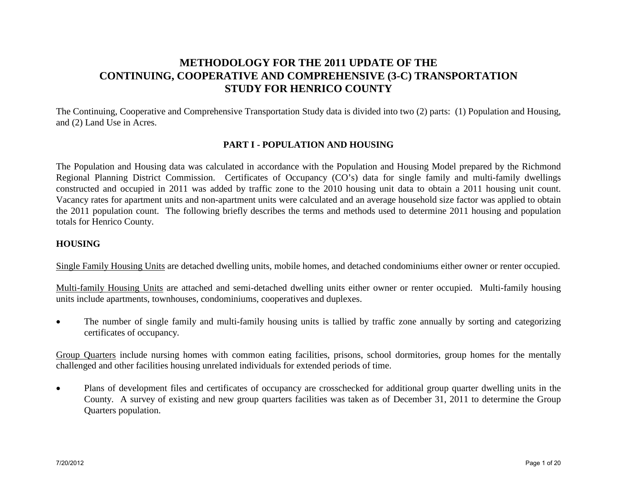# **METHODOLOGY FOR THE 2011 UPDATE OF THE CONTINUING, COOPERATIVE AND COMPREHENSIVE (3-C) TRANSPORTATION STUDY FOR HENRICO COUNTY**

The Continuing, Cooperative and Comprehensive Transportation Study data is divided into two (2) parts: (1) Population and Housing, and (2) Land Use in Acres.

## **PART I - POPULATION AND HOUSING**

The Population and Housing data was calculated in accordance with the Population and Housing Model prepared by the Richmond Regional Planning District Commission. Certificates of Occupancy (CO's) data for single family and multi-family dwellings constructed and occupied in 2011 was added by traffic zone to the 2010 housing unit data to obtain a 2011 housing unit count. Vacancy rates for apartment units and non-apartment units were calculated and an average household size factor was applied to obtain the 2011 population count. The following briefly describes the terms and methods used to determine 2011 housing and population totals for Henrico County.

## **HOUSING**

Single Family Housing Units are detached dwelling units, mobile homes, and detached condominiums either owner or renter occupied.

Multi-family Housing Units are attached and semi-detached dwelling units either owner or renter occupied. Multi-family housing units include apartments, townhouses, condominiums, cooperatives and duplexes.

• The number of single family and multi-family housing units is tallied by traffic zone annually by sorting and categorizing certificates of occupancy.

Group Quarters include nursing homes with common eating facilities, prisons, school dormitories, group homes for the mentally challenged and other facilities housing unrelated individuals for extended periods of time.

• Plans of development files and certificates of occupancy are crosschecked for additional group quarter dwelling units in the County. A survey of existing and new group quarters facilities was taken as of December 31, 2011 to determine the Group Quarters population.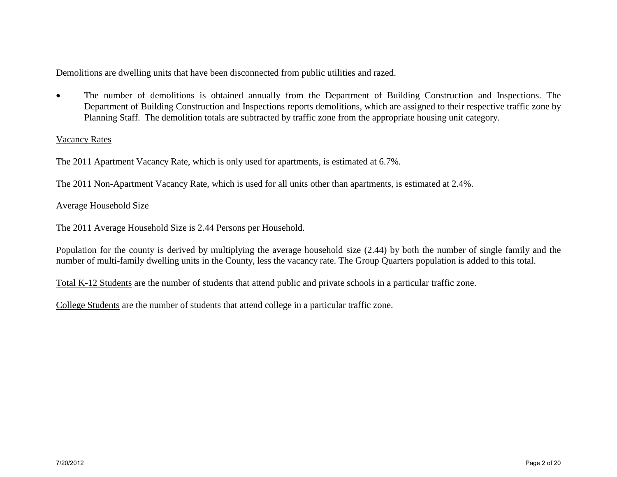Demolitions are dwelling units that have been disconnected from public utilities and razed.

• The number of demolitions is obtained annually from the Department of Building Construction and Inspections. The Department of Building Construction and Inspections reports demolitions, which are assigned to their respective traffic zone by Planning Staff. The demolition totals are subtracted by traffic zone from the appropriate housing unit category.

## Vacancy Rates

The 2011 Apartment Vacancy Rate, which is only used for apartments, is estimated at 6.7%.

The 2011 Non-Apartment Vacancy Rate, which is used for all units other than apartments, is estimated at 2.4%.

## Average Household Size

The 2011 Average Household Size is 2.44 Persons per Household.

Population for the county is derived by multiplying the average household size (2.44) by both the number of single family and the number of multi-family dwelling units in the County, less the vacancy rate. The Group Quarters population is added to this total.

Total K-12 Students are the number of students that attend public and private schools in a particular traffic zone.

College Students are the number of students that attend college in a particular traffic zone.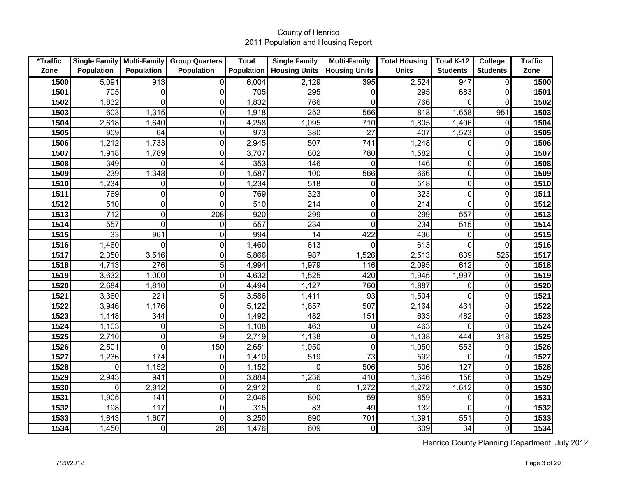| *Traffic |                    |                   | Single Family   Multi-Family   Group Quarters | <b>Total</b>      | <b>Single Family</b> | <b>Multi-Family</b>  | <b>Total Housing</b> | Total K-12       | College         | <b>Traffic</b> |
|----------|--------------------|-------------------|-----------------------------------------------|-------------------|----------------------|----------------------|----------------------|------------------|-----------------|----------------|
| Zone     | <b>Population</b>  | <b>Population</b> | <b>Population</b>                             | <b>Population</b> | <b>Housing Units</b> | <b>Housing Units</b> | <b>Units</b>         | <b>Students</b>  | <b>Students</b> | Zone           |
| 1500     | 5,091              | $\overline{913}$  | 0                                             | 6,004             | 2,129                | 395                  | 2,524                | $\overline{947}$ | 0               | 1500           |
| 1501     | 705                | $\mathbf 0$       | 0                                             | 705               | 295                  | 0                    | 295                  | 683              |                 | 1501           |
| 1502     | 1,832              | $\Omega$          | 0                                             | 1,832             | 766                  | $\Omega$             | 766                  | $\mathbf{0}$     |                 | 1502           |
| 1503     | 603                | 1,315             | $\mathbf 0$                                   | 1,918             | 252                  | 566                  | 818                  | 1,658            | 951             | 1503           |
| 1504     | 2,618              | 1,640             | $\mathbf 0$                                   | 4,258             | 1,095                | 710                  | 1,805                | 1,406            | $\Omega$        | 1504           |
| 1505     | 909                | 64                | 0                                             | 973               | 380                  | 27                   | 407                  | 1,523            |                 | 1505           |
| 1506     | 1,212              | 1,733             | $\mathbf 0$                                   | 2,945             | 507                  | 741                  | 1,248                | $\boldsymbol{0}$ | 0               | 1506           |
| 1507     | 1,918              | 1,789             | 0                                             | 3,707             | 802                  | 780                  | 1,582                | $\mathbf 0$      | $\Omega$        | 1507           |
| 1508     | 349                | $\Omega$          | 4                                             | 353               | 146                  | $\Omega$             | 146                  | $\mathbf 0$      | $\Omega$        | 1508           |
| 1509     | 239                | 1,348             | 0                                             | 1,587             | 100                  | 566                  | 666                  | $\mathbf 0$      | 0               | 1509           |
| 1510     | $\overline{1,234}$ | $\mathbf 0$       | 0                                             | 1,234             | 518                  | $\Omega$             | 518                  | $\mathbf 0$      | $\Omega$        | 1510           |
| 1511     | 769                | $\mathbf 0$       | 0                                             | 769               | 323                  | 0                    | 323                  | $\mathbf 0$      | 0               | 1511           |
| 1512     | 510                | $\mathbf 0$       | 0                                             | 510               | 214                  | 0                    | 214                  | $\mathbf 0$      | 0               | 1512           |
| 1513     | 712                | $\mathbf 0$       | 208                                           | 920               | 299                  | $\Omega$             | 299                  | 557              | 0               | 1513           |
| 1514     | 557                | $\mathbf 0$       | 0                                             | 557               | 234                  | $\Omega$             | 234                  | 515              | 0               | 1514           |
| 1515     | 33                 | 961               | 0                                             | 994               | 14                   | 422                  | 436                  | 0                | $\Omega$        | 1515           |
| 1516     | 1,460              | $\Omega$          | 0                                             | 1,460             | 613                  | $\Omega$             | 613                  | $\mathbf 0$      | $\Omega$        | 1516           |
| 1517     | 2,350              | 3,516             | 0                                             | 5,866             | 987                  | 1,526                | 2,513                | 639              | 525             | 1517           |
| 1518     | 4,713              | 276               | 5                                             | 4,994             | 1,979                | 116                  | 2,095                | 612              | $\Omega$        | 1518           |
| 1519     | 3,632              | 1,000             | 0                                             | 4,632             | 1,525                | 420                  | 1,945                | 1,997            | $\Omega$        | 1519           |
| 1520     | 2,684              | 1,810             | 0                                             | 4,494             | 1,127                | 760                  | 1,887                | $\mathbf 0$      | $\Omega$        | 1520           |
| 1521     | 3,360              | 221               | 5                                             | 3,586             | 1,411                | 93                   | 1,504                | $\overline{0}$   | $\Omega$        | 1521           |
| 1522     | 3,946              | 1,176             | 0                                             | 5,122             | 1,657                | 507                  | 2,164                | 461              | $\Omega$        | 1522           |
| 1523     | 1,148              | 344               | 0                                             | 1,492             | 482                  | 151                  | 633                  | 482              | $\Omega$        | 1523           |
| 1524     | 1,103              | $\mathbf 0$       | 5                                             | 1,108             | 463                  | 0                    | 463                  | $\mathbf 0$      | $\Omega$        | 1524           |
| 1525     | 2,710              | $\overline{0}$    | 9                                             | 2,719             | 1,138                | $\Omega$             | 1,138                | 444              | 318             | 1525           |
| 1526     | 2,501              | $\mathbf 0$       | 150                                           | 2,651             | 1,050                | $\Omega$             | 1,050                | 553              | $\Omega$        | 1526           |
| 1527     | 1,236              | 174               | 0                                             | 1,410             | 519                  | 73                   | 592                  | $\mathbf 0$      | $\Omega$        | 1527           |
| 1528     | $\Omega$           | 1,152             | $\mathbf 0$                                   | 1,152             | $\mathbf 0$          | 506                  | 506                  | 127              | $\Omega$        | 1528           |
| 1529     | 2,943              | 941               | 0                                             | 3,884             | 1,236                | 410                  | 1,646                | 156              | $\Omega$        | 1529           |
| 1530     | $\Omega$           | 2,912             | 0                                             | 2,912             | $\Omega$             | 1,272                | 1,272                | 1,612            | $\Omega$        | 1530           |
| 1531     | 1,905              | 141               | $\mathbf 0$                                   | 2,046             | 800                  | 59                   | 859                  | $\mathbf 0$      | $\Omega$        | 1531           |
| 1532     | 198                | 117               | 0                                             | 315               | 83                   | 49                   | 132                  | $\Omega$         | $\Omega$        | 1532           |
| 1533     | 1,643              | 1,607             | $\overline{0}$                                | 3,250             | 690                  | 701                  | 1,391                | 551              | $\mathbf{0}$    | 1533           |
| 1534     | 1,450              | $\mathbf 0$       | 26                                            | 1,476             | 609                  | $\Omega$             | 609                  | 34               | 0               | 1534           |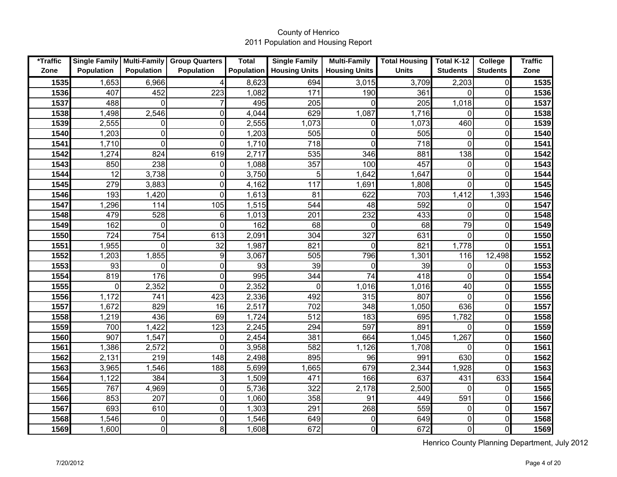| *Traffic |                   |                   | Single Family   Multi-Family   Group Quarters | <b>Total</b>      | <b>Single Family</b> | <b>Multi-Family</b>  | <b>Total Housing</b> | Total K-12      | College         | <b>Traffic</b> |
|----------|-------------------|-------------------|-----------------------------------------------|-------------------|----------------------|----------------------|----------------------|-----------------|-----------------|----------------|
| Zone     | <b>Population</b> | <b>Population</b> | <b>Population</b>                             | <b>Population</b> | <b>Housing Units</b> | <b>Housing Units</b> | <b>Units</b>         | <b>Students</b> | <b>Students</b> | Zone           |
| 1535     | 1,653             | 6,966             | 4                                             | 8,623             | 694                  | 3,015                | 3,709                | 2,203           | 0               | 1535           |
| 1536     | 407               | 452               | 223                                           | 1,082             | 171                  | 190                  | 361                  | 0               |                 | 1536           |
| 1537     | 488               | 0                 |                                               | 495               | 205                  |                      | 205                  | 1,018           | 0               | 1537           |
| 1538     | 1,498             | 2,546             | $\mathbf 0$                                   | 4,044             | 629                  | 1,087                | 1,716                | 0               | 0               | 1538           |
| 1539     | 2,555             | 0                 | $\mathbf 0$                                   | 2,555             | 1,073                | $\Omega$             | 1,073                | 460             | 0               | 1539           |
| 1540     | 1,203             | $\mathbf 0$       | $\mathbf 0$                                   | 1,203             | 505                  | 0                    | 505                  | 0               | 0               | 1540           |
| 1541     | 1,710             | $\mathbf 0$       | 0                                             | 1,710             | 718                  | $\Omega$             | 718                  | $\mathbf 0$     | 0               | 1541           |
| 1542     | 1,274             | 824               | 619                                           | 2,717             | 535                  | 346                  | 881                  | 138             | 0               | 1542           |
| 1543     | 850               | 238               | 0                                             | 1,088             | 357                  | 100                  | 457                  | $\pmb{0}$       | 0               | 1543           |
| 1544     | 12                | 3,738             | 0                                             | 3,750             | 5                    | 1,642                | 1,647                | 0               | 0               | 1544           |
| 1545     | 279               | 3,883             | 0                                             | 4,162             | 117                  | 1,691                | 1,808                | 0               | 0               | 1545           |
| 1546     | 193               | 1,420             | 0                                             | 1,613             | 81                   | 622                  | 703                  | 1,412           | 1,393           | 1546           |
| 1547     | 1,296             | 114               | 105                                           | 1,515             | 544                  | 48                   | 592                  | 0               | 0               | 1547           |
| 1548     | 479               | 528               | 6                                             | 1,013             | 201                  | 232                  | 433                  | $\mathbf 0$     | 0               | 1548           |
| 1549     | 162               | $\mathbf 0$       | 0                                             | 162               | 68                   | $\Omega$             | 68                   | 79              | 0               | 1549           |
| 1550     | 724               | 754               | 613                                           | 2,091             | 304                  | 327                  | 631                  | 0               | 0               | 1550           |
| 1551     | 1,955             | $\Omega$          | 32                                            | 1,987             | 821                  | $\Omega$             | 821                  | 1,778           | $\Omega$        | 1551           |
| 1552     | 1,203             | 1,855             | 9                                             | 3,067             | 505                  | 796                  | 1,301                | 116             | 12,498          | 1552           |
| 1553     | 93                | $\mathbf 0$       | 0                                             | 93                | 39                   | $\Omega$             | 39                   | 0               | 0               | 1553           |
| 1554     | 819               | 176               | 0                                             | 995               | 344                  | 74                   | $\overline{418}$     | $\mathbf 0$     | 0               | 1554           |
| 1555     | $\Omega$          | 2,352             | 0                                             | 2,352             | $\Omega$             | 1,016                | 1,016                | 40              | 0               | 1555           |
| 1556     | 1,172             | 741               | 423                                           | 2,336             | 492                  | 315                  | 807                  | $\mathbf 0$     | 0               | 1556           |
| 1557     | 1,672             | 829               | 16                                            | 2,517             | 702                  | 348                  | 1,050                | 636             | 0               | 1557           |
| 1558     | 1,219             | 436               | 69                                            | 1,724             | 512                  | 183                  | 695                  | 1,782           | 0               | 1558           |
| 1559     | 700               | 1,422             | 123                                           | 2,245             | 294                  | 597                  | 891                  | 0               | 0               | 1559           |
| 1560     | 907               | 1,547             | 0                                             | 2,454             | 381                  | 664                  | 1,045                | 1,267           | 0               | 1560           |
| 1561     | 1,386             | 2,572             | $\Omega$                                      | 3,958             | 582                  | 1,126                | 1,708                | $\Omega$        | 0               | 1561           |
| 1562     | 2,131             | 219               | 148                                           | 2,498             | 895                  | 96                   | 991                  | 630             | 0               | 1562           |
| 1563     | 3,965             | 1,546             | 188                                           | 5,699             | 1,665                | 679                  | 2,344                | 1,928           | $\Omega$        | 1563           |
| 1564     | 1,122             | 384               | 3                                             | 1,509             | 471                  | 166                  | 637                  | 431             | 633             | 1564           |
| 1565     | 767               | 4,969             | $\mathbf 0$                                   | 5,736             | 322                  | 2,178                | 2,500                | $\mathbf 0$     | $\mathbf{0}$    | 1565           |
| 1566     | 853               | 207               | 0                                             | 1,060             | 358                  | 91                   | 449                  | 591             | 0               | 1566           |
| 1567     | 693               | 610               | $\mathbf 0$                                   | 1,303             | 291                  | 268                  | 559                  | 0               | 0               | 1567           |
| 1568     | 1,546             | $\mathbf 0$       | 0                                             | 1,546             | 649                  | 0                    | 649                  | $\mathbf 0$     | 0               | 1568           |
| 1569     | 1,600             | 0                 | 8                                             | 1,608             | 672                  | $\Omega$             | 672                  | 0               | $\Omega$        | 1569           |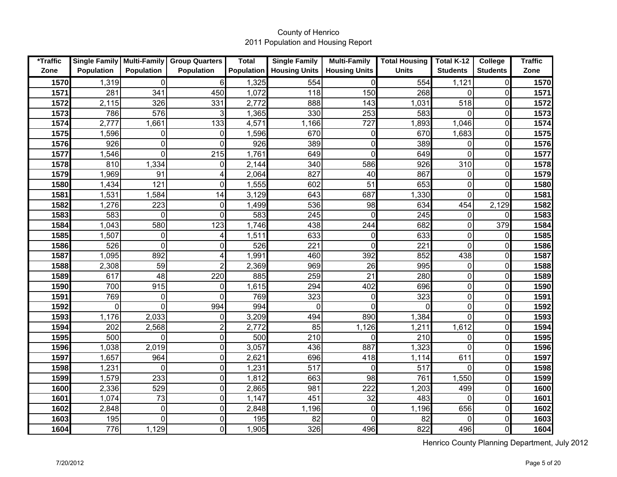| *Traffic |                   |                   | Single Family   Multi-Family   Group Quarters | <b>Total</b>      | <b>Single Family</b> | <b>Multi-Family</b>  | <b>Total Housing</b> | Total K-12      | College         | <b>Traffic</b> |
|----------|-------------------|-------------------|-----------------------------------------------|-------------------|----------------------|----------------------|----------------------|-----------------|-----------------|----------------|
| Zone     | <b>Population</b> | <b>Population</b> | <b>Population</b>                             | <b>Population</b> | <b>Housing Units</b> | <b>Housing Units</b> | <b>Units</b>         | <b>Students</b> | <b>Students</b> | Zone           |
| 1570     | 1,319             | $\mathbf 0$       | 6                                             | 1,325             | 554                  | $\Omega$             | 554                  | 1,121           | 0               | 1570           |
| 1571     | 281               | 341               | 450                                           | 1,072             | 118                  | 150                  | 268                  | 0               | 0               | 1571           |
| 1572     | 2,115             | 326               | 331                                           | 2,772             | 888                  | 143                  | 1,031                | 518             | 0               | 1572           |
| 1573     | 786               | 576               | 3                                             | 1,365             | 330                  | 253                  | 583                  | $\Omega$        | 0               | 1573           |
| 1574     | 2,777             | 1,661             | 133                                           | 4,571             | 1,166                | 727                  | 1,893                | 1,046           | 0               | 1574           |
| 1575     | 1,596             | 0                 | $\mathbf 0$                                   | 1,596             | 670                  | 0                    | 670                  | 1,683           | 0               | 1575           |
| 1576     | 926               | $\mathbf 0$       | 0                                             | 926               | 389                  | $\Omega$             | 389                  | 0               | 0               | 1576           |
| 1577     | 1,546             | $\overline{0}$    | 215                                           | 1,761             | 649                  | 0                    | 649                  | $\overline{0}$  | 0               | 1577           |
| 1578     | 810               | 1,334             | 0                                             | 2,144             | 340                  | 586                  | 926                  | 310             | 0               | 1578           |
| 1579     | 1,969             | 91                | 4                                             | 2,064             | 827                  | 40                   | 867                  | 0               | 0               | 1579           |
| 1580     | 1,434             | 121               | 0                                             | 1,555             | 602                  | $\overline{51}$      | 653                  | $\mathbf 0$     | 0               | 1580           |
| 1581     | 1,531             | 1,584             | 14                                            | 3,129             | 643                  | 687                  | 1,330                | $\mathbf 0$     | 0               | 1581           |
| 1582     | 1,276             | 223               | 0                                             | 1,499             | 536                  | 98                   | 634                  | 454             | 2,129           | 1582           |
| 1583     | 583               | $\mathbf 0$       | 0                                             | 583               | 245                  | $\Omega$             | 245                  | 0               |                 | 1583           |
| 1584     | 1,043             | 580               | 123                                           | 1,746             | 438                  | 244                  | 682                  | $\mathbf 0$     | 379             | 1584           |
| 1585     | 1,507             | 0                 | 4                                             | 1,511             | 633                  | $\Omega$             | 633                  | $\mathbf 0$     | 0               | 1585           |
| 1586     | 526               | $\overline{0}$    | 0                                             | 526               | 221                  | 0                    | 221                  | $\overline{0}$  | 0               | 1586           |
| 1587     | 1,095             | 892               | 4                                             | 1,991             | 460                  | 392                  | 852                  | 438             | 0               | 1587           |
| 1588     | 2,308             | 59                | $\overline{2}$                                | 2,369             | 969                  | 26                   | 995                  | 0               | 0               | 1588           |
| 1589     | 617               | 48                | 220                                           | 885               | 259                  | 21                   | 280                  | $\pmb{0}$       | 0               | 1589           |
| 1590     | 700               | 915               | 0                                             | 1,615             | 294                  | 402                  | 696                  | $\pmb{0}$       | 0               | 1590           |
| 1591     | 769               | $\mathbf 0$       | $\Omega$                                      | 769               | 323                  | $\Omega$             | 323                  | $\pmb{0}$       | $\Omega$        | 1591           |
| 1592     | $\mathbf 0$       | $\mathbf 0$       | 994                                           | 994               | $\overline{0}$       | $\Omega$             | $\Omega$             | $\mathbf 0$     | $\Omega$        | 1592           |
| 1593     | 1,176             | 2,033             | 0                                             | 3,209             | 494                  | 890                  | 1,384                | 0               | 0               | 1593           |
| 1594     | 202               | 2,568             | $\overline{c}$                                | 2,772             | 85                   | 1,126                | 1,211                | 1,612           | 0               | 1594           |
| 1595     | 500               | $\overline{0}$    | 0                                             | 500               | 210                  | O                    | 210                  | 0               | 0               | 1595           |
| 1596     | 1,038             | 2,019             | 0                                             | 3,057             | 436                  | 887                  | 1,323                | 0               | $\Omega$        | 1596           |
| 1597     | 1,657             | 964               | 0                                             | 2,621             | 696                  | 418                  | 1,114                | 611             | 0               | 1597           |
| 1598     | 1,231             | $\overline{0}$    | 0                                             | 1,231             | 517                  |                      | 517                  | $\overline{0}$  | 0               | 1598           |
| 1599     | 1,579             | 233               | 0                                             | 1,812             | 663                  | 98                   | 761                  | 1,550           | O               | 1599           |
| 1600     | 2,336             | 529               | 0                                             | 2,865             | 981                  | 222                  | 1,203                | 499             | U               | 1600           |
| 1601     | 1,074             | 73                | 0                                             | 1,147             | 451                  | 32                   | 483                  | $\overline{0}$  | 0               | 1601           |
| 1602     | 2,848             | $\pmb{0}$         | $\pmb{0}$                                     | 2,848             | 1,196                | $\Omega$             | 1,196                | 656             | O               | 1602           |
| 1603     | 195               | $\overline{0}$    | 0                                             | 195               | 82                   |                      | 82                   | 0               | 0               | 1603           |
| 1604     | 776               | 1,129             | 0                                             | 1,905             | 326                  | 496                  | 822                  | 496             | O               | 1604           |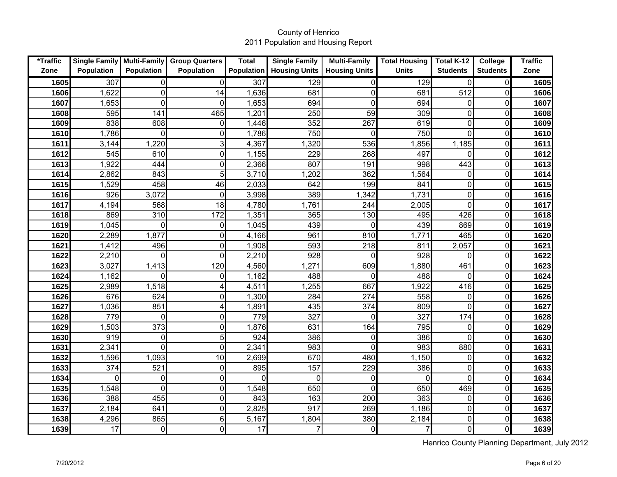| *Traffic |                   |                   | Single Family   Multi-Family   Group Quarters | <b>Total</b> | <b>Single Family</b> | <b>Multi-Family</b>  | <b>Total Housing</b> | Total K-12       | College         | <b>Traffic</b> |
|----------|-------------------|-------------------|-----------------------------------------------|--------------|----------------------|----------------------|----------------------|------------------|-----------------|----------------|
| Zone     | <b>Population</b> | <b>Population</b> | <b>Population</b>                             | Population   | <b>Housing Units</b> | <b>Housing Units</b> | <b>Units</b>         | <b>Students</b>  | <b>Students</b> | Zone           |
| 1605     | 307               | 0                 | 0                                             | 307          | 129                  | $\Omega$             | 129                  | $\mathbf{0}$     | $\Omega$        | 1605           |
| 1606     | 1,622             | $\mathbf 0$       | 14                                            | 1,636        | 681                  | 0                    | 681                  | 512              | 0               | 1606           |
| 1607     | 1,653             | $\Omega$          | 0                                             | 1,653        | 694                  | $\Omega$             | 694                  | 0                | $\Omega$        | 1607           |
| 1608     | 595               | 141               | 465                                           | 1,201        | 250                  | 59                   | 309                  | $\boldsymbol{0}$ | $\Omega$        | 1608           |
| 1609     | 838               | 608               | 0                                             | 1,446        | 352                  | 267                  | 619                  | $\mathbf 0$      | $\mathbf 0$     | 1609           |
| 1610     | 1,786             | $\Omega$          | 0                                             | 1,786        | 750                  | $\Omega$             | 750                  | $\mathbf 0$      | 0               | 1610           |
| 1611     | 3,144             | 1,220             | 3                                             | 4,367        | 1,320                | 536                  | 1,856                | 1,185            | 0               | 1611           |
| 1612     | 545               | 610               | $\mathbf 0$                                   | 1,155        | 229                  | 268                  | 497                  | 0                | 0               | 1612           |
| 1613     | 1,922             | 444               | 0                                             | 2,366        | 807                  | 191                  | 998                  | 443              | 0               | 1613           |
| 1614     | 2,862             | 843               | 5                                             | 3,710        | 1,202                | 362                  | 1,564                | $\mathbf 0$      | $\Omega$        | 1614           |
| 1615     | 1,529             | 458               | 46                                            | 2,033        | 642                  | 199                  | 841                  | $\mathbf 0$      | $\mathbf 0$     | 1615           |
| 1616     | 926               | 3,072             | $\overline{0}$                                | 3,998        | 389                  | 1,342                | 1,731                | $\mathbf 0$      | $\Omega$        | 1616           |
| 1617     | 4,194             | 568               | 18                                            | 4,780        | 1,761                | 244                  | 2,005                | $\overline{0}$   | $\Omega$        | 1617           |
| 1618     | 869               | 310               | 172                                           | 1,351        | 365                  | 130                  | 495                  | 426              | $\Omega$        | 1618           |
| 1619     | 1,045             | $\Omega$          | 0                                             | 1,045        | 439                  | <sup>0</sup>         | 439                  | 869              | $\Omega$        | 1619           |
| 1620     | 2,289             | 1,877             | 0                                             | 4,166        | 961                  | 810                  | 1,771                | 465              | $\Omega$        | 1620           |
| 1621     | 1,412             | 496               | 0                                             | 1,908        | 593                  | 218                  | 811                  | 2,057            | $\Omega$        | 1621           |
| 1622     | 2,210             | $\Omega$          | 0                                             | 2,210        | 928                  | O                    | 928                  | 0                | $\Omega$        | 1622           |
| 1623     | 3,027             | 1,413             | 120                                           | 4,560        | 1,271                | 609                  | 1,880                | 461              | $\mathbf 0$     | 1623           |
| 1624     | 1,162             | $\Omega$          | 0                                             | 1,162        | 488                  |                      | 488                  | 0                | $\Omega$        | 1624           |
| 1625     | 2,989             | 1,518             | 4                                             | 4,511        | 1,255                | 667                  | 1,922                | 416              | $\Omega$        | 1625           |
| 1626     | 676               | 624               | 0                                             | 1,300        | 284                  | 274                  | 558                  | 0                | $\mathbf 0$     | 1626           |
| 1627     | 1,036             | 851               | 4                                             | 1,891        | 435                  | 374                  | 809                  | $\overline{0}$   | $\Omega$        | 1627           |
| 1628     | 779               | $\Omega$          | $\mathbf 0$                                   | 779          | 327                  |                      | 327                  | 174              | $\Omega$        | 1628           |
| 1629     | 1,503             | 373               | 0                                             | 1,876        | 631                  | 164                  | 795                  | 0                | $\Omega$        | 1629           |
| 1630     | 919               | $\mathbf 0$       | 5                                             | 924          | 386                  |                      | 386                  | $\mathbf 0$      | $\Omega$        | 1630           |
| 1631     | 2,341             | $\Omega$          | $\mathbf 0$                                   | 2,341        | 983                  |                      | 983                  | 880              | $\mathbf 0$     | 1631           |
| 1632     | 1,596             | 1,093             | $\overline{10}$                               | 2,699        | 670                  | 480                  | 1,150                | 0                | $\Omega$        | 1632           |
| 1633     | 374               | 521               | $\mathbf 0$                                   | 895          | 157                  | 229                  | 386                  | $\mathbf 0$      | 0               | 1633           |
| 1634     | $\Omega$          | $\mathbf 0$       | $\mathbf 0$                                   | $\mathbf{0}$ | $\mathbf 0$          |                      | O                    | $\overline{0}$   | $\Omega$        | 1634           |
| 1635     | 1,548             | $\overline{0}$    | 0                                             | 1,548        | 650                  |                      | 650                  | 469              | $\Omega$        | 1635           |
| 1636     | 388               | 455               | 0                                             | 843          | 163                  | 200                  | 363                  | $\boldsymbol{0}$ | 0               | 1636           |
| 1637     | 2,184             | 641               | $\mathbf 0$                                   | 2,825        | 917                  | 269                  | 1,186                | $\mathbf 0$      | $\mathbf 0$     | 1637           |
| 1638     | 4,296             | 865               | 6                                             | 5,167        | 1,804                | 380                  | 2,184                | $\mathbf 0$      | $\mathbf{0}$    | 1638           |
| 1639     | 17                | $\overline{0}$    | 0                                             | 17           | $\overline{7}$       | 0                    | $\overline{7}$       | $\mathbf 0$      | 0               | 1639           |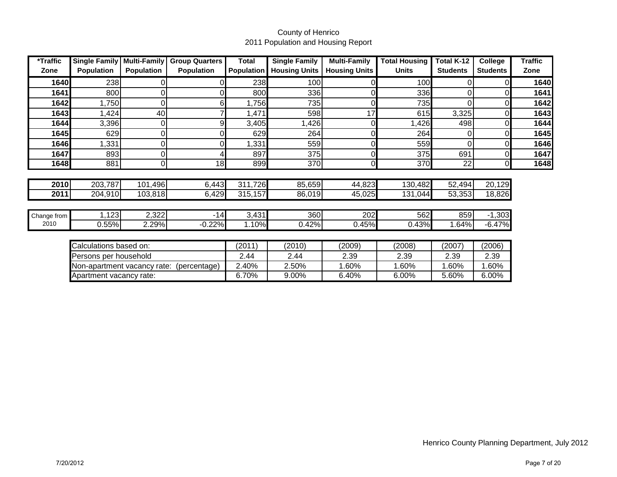| *Traffic    | <b>Single Family</b>                        | <b>Multi-Family</b> | <b>Group Quarters</b> | Total             | <b>Single Family</b> | <b>Multi-Family</b>  | <b>Total Housing</b> | Total K-12      | College         | <b>Traffic</b> |
|-------------|---------------------------------------------|---------------------|-----------------------|-------------------|----------------------|----------------------|----------------------|-----------------|-----------------|----------------|
| Zone        | <b>Population</b>                           | <b>Population</b>   | <b>Population</b>     | <b>Population</b> | <b>Housing Units</b> | <b>Housing Units</b> | <b>Units</b>         | <b>Students</b> | <b>Students</b> | Zone           |
| 1640        | 238                                         | 0                   |                       | 238               | 100                  |                      | 100                  | 0               |                 | 1640           |
| 1641        | 800                                         | 0                   |                       | 800               | 336                  |                      | 336                  | 0               |                 | 1641           |
| 1642        | 1,750                                       | 0                   | 61                    | 1,756             | 735                  |                      | 735                  | 0               | 0               | 1642           |
| 1643        | ,424                                        | 40                  |                       | 1,471             | 598                  | 17                   | 615                  | 3,325           |                 | 1643           |
| 1644        | 3,396                                       | 0                   |                       | 3,405             | ,426                 |                      | ,426                 | 498             | 0               | 1644           |
| 1645        | 629                                         | $\Omega$            |                       | 629               | 264                  |                      | 264                  | 0               | 0               | 1645           |
| 1646        | ,331                                        | 0                   |                       | 1,331             | 559                  |                      | 559                  | 0               | 0               | 1646           |
| 1647        | 893                                         | 0                   |                       | 897               | 375                  |                      | 375                  | 691             | 0               | 1647           |
| 1648        | 881                                         | 0                   | 18                    | 899               | 370                  | ΩI                   | 370                  | 22              | $\overline{0}$  | 1648           |
|             |                                             |                     |                       |                   |                      |                      |                      |                 |                 |                |
| 2010        | 203,787                                     | 101,496             | 6,443                 | 311,726           | 85,659               | 44,823               | 130,482              | 52,494          | 20,129          |                |
| 2011        | 204,910                                     | 103,818             | 6,429                 | 315,157           | 86,019               | 45,025               | 131,044              | 53,353          | 18,826          |                |
|             |                                             |                     |                       |                   |                      |                      |                      |                 |                 |                |
| Change from | 1,123                                       | 2,322               | $-14$                 | 3,431             | 360                  | 202                  | 562                  | 859             | $-1,303$        |                |
| 2010        | 0.55%                                       | 2.29%               | $-0.22%$              | 1.10%             | 0.42%                | 0.45%                | 0.43%                | 1.64%           | $-6.47%$        |                |
|             |                                             |                     |                       |                   |                      |                      |                      |                 |                 |                |
|             | Calculations based on:                      |                     |                       | (2011)            | (2010)               | (2009)               | (2008)               | (2007)          | (2006)          |                |
|             | Persons per household                       |                     | 2.44                  | 2.44              | 2.39                 | 2.39                 | 2.39                 | 2.39            |                 |                |
|             | Non-apartment vacancy rate:<br>(percentage) |                     |                       | 2.40%             | 2.50%                | 1.60%                | 1.60%                | .60%            | 1.60%           |                |
|             | Apartment vacancy rate:                     |                     |                       | 6.70%             | 9.00%                | 6.40%                | 6.00%                | 5.60%           | 6.00%           |                |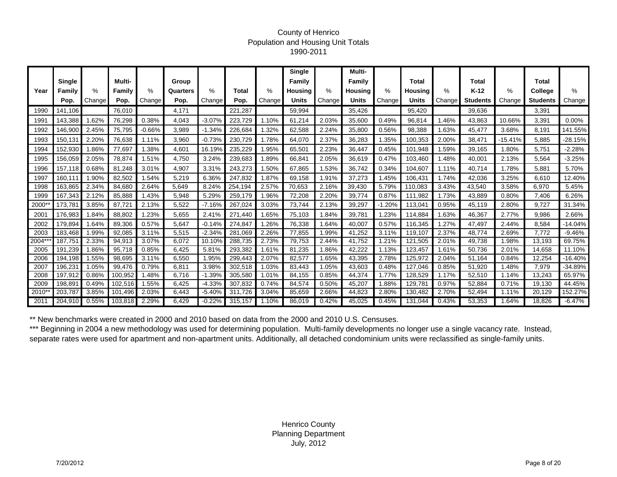#### County of Henrico Population and Housing Unit Totals 1990-2011

|        |         |        |         |                     |          |          |         |        | <b>Single</b>  |        | Multi-         |          |                |        |                 |           |                 |           |
|--------|---------|--------|---------|---------------------|----------|----------|---------|--------|----------------|--------|----------------|----------|----------------|--------|-----------------|-----------|-----------------|-----------|
|        | Single  |        | Multi-  |                     | Group    |          |         |        | Family         |        | Family         |          | <b>Total</b>   |        | Total           |           | <b>Total</b>    |           |
| Year   | Family  | ℅      | Family  | %                   | Quarters | %        | Total   | %      | <b>Housing</b> | $\%$   | <b>Housing</b> | %        | <b>Housing</b> | ℅      | K-12            | ℅         | College         | %         |
|        | Pop.    | Change | Pop.    | Change <sup>®</sup> | Pop.     | Change   | Pop.    | Change | Units          | Change | <b>Units</b>   | Change   | <b>Units</b>   | Change | <b>Students</b> | Change    | <b>Students</b> | Change    |
| 1990   | 141,106 |        | 76,010  |                     | 4,171    |          | 221,287 |        | 59,994         |        | 35,426         |          | 95,420         |        | 39,636          |           | 3,391           |           |
| 1991   | 143,388 | .62%   | 76,298  | 0.38%               | 4,043    | $-3.07%$ | 223,729 | 1.10%  | 61,214         | 2.03%  | 35,600         | 0.49%    | 96,814         | 1.46%  | 43,863          | 10.66%    | 3,391           | 0.00%     |
| 1992   | 146.900 | 2.45%  | 75,795  | $-0.66%$            | 3,989    | $-1.34%$ | 226,684 | .32%   | 62,588         | 2.24%  | 35,800         | 0.56%    | 98.388         | 1.63%  | 45.477          | 3.68%     | 8.191           | 141.55%   |
| 1993   | 150,131 | 2.20%  | 76,638  | 1.11%               | 3,960    | $-0.73%$ | 230,729 | 1.78%  | 64,070         | 2.37%  | 36,283         | 1.35%    | 100,353        | 2.00%  | 38,471          | $-15.41%$ | 5,885           | -28.15%   |
| 1994   | 152,930 | 1.86%  | 77,697  | .38%                | 4,601    | 16.19%   | 235,229 | .95%   | 65,501         | 2.23%  | 36,447         | 0.45%    | 101,948        | 1.59%  | 39,165          | .80%      | 5,751           | $-2.28%$  |
| 1995   | 156,059 | 2.05%  | 78,874  | .51%                | 4,750    | 3.24%    | 239,683 | .89%   | 66,841         | 2.05%  | 36,619         | 0.47%    | 103,460        | .48%   | 40,001          | 2.13%     | 5,564           | $-3.25%$  |
| 1996   | 157,118 | 0.68%  | 81,248  | 3.01%               | 4,907    | 3.31%    | 243,273 | .50%   | 67,865         | .53%   | 36,742         | 0.34%    | 104,607        | 1.11%  | 40.714          | 1.78%     | 5,881           | 5.70%     |
| 1997   | 160,111 | .90%   | 82,502  | .54%                | 5,219    | 6.36%    | 247,832 | .87%   | 69,158         | .91%   | 37,273         | 1.45%    | 106,431        | 1.74%  | 42,036          | 3.25%     | 6.610           | 12.40%    |
| 1998   | 163,865 | 2.34%  | 84,680  | 2.64%               | 5,649    | 8.24%    | 254,194 | 2.57%  | 70,653         | 2.16%  | 39,430         | 5.79%    | 110.083        | 3.43%  | 43,540          | 3.58%     | 6,970           | 5.45%     |
| 1999   | 167,343 | 2.12%  | 85,888  | 1.43%               | 5,948    | 5.29%    | 259,179 | 1.96%  | 72,208         | 2.20%  | 39,774         | 0.87%    | 111,982        | 1.73%  | 43,889          | 0.80%     | 7,406           | 6.26%     |
| 2000*  | 173.781 | 3.85%  | 87.72'  | 2.13%               | 5,522    | $-7.16%$ | 267.024 | 3.03%  | 73,744         | 2.13%  | 39,297         | $-1.20%$ | 113,041        | 0.95%  | 45,119          | 2.80%     | 9,727           | 31.34%    |
| 2001   | 176,983 | .84%   | 88,802  | .23%                | 5,655    | 2.41%    | 271,440 | .65%   | 75,103         | .84%   | 39,781         | 1.23%    | 114,884        | 1.63%  | 46,367          | 2.77%     | 9,986           | 2.66%     |
| 2002   | 179,894 | 1.64%  | 89,306  | 0.57%               | 5,647    | $-0.14%$ | 274,847 | .26%   | 76,338         | .64%   | 40,007         | 0.57%    | 116,345        | 1.27%  | 47,497          | 2.44%     | 8,584           | $-14.04%$ |
| 2003   | 183,468 | .99%   | 92,085  | 3.11%               | 5,515    | $-2.34%$ | 281,069 | 2.26%  | 77,855         | .99%   | 41,252         | 3.11%    | 119,107        | 2.37%  | 48.774          | 2.69%     | 7.772           | $-9.46%$  |
| 2004** | 187,751 | 2.33%  | 94,913  | 3.07%               | 6,072    | 10.10%   | 288,735 | 2.73%  | 79,753         | 2.44%  | 41,752         | 1.21%    | 121,505        | 2.01%  | 49,738          | 1.98%     | 13,193          | 69.75%    |
| 2005   | 191,239 | 1.86%  | 95.718  | 0.85%               | 6,425    | 5.81%    | 293.382 | 1.61%  | 81,235         | .86%   | 42,222         | 1.13%    | 123,457        | 1.61%  | 50.736          | 2.01%     | 14,658          | 11.10%    |
| 2006   | 194,198 | .55%   | 98,695  | 3.11%               | 6,550    | 1.95%    | 299,443 | 2.07%  | 82,577         | .65%   | 43,395         | 2.78%    | 125,972        | 2.04%  | 51,164          | 0.84%     | 12,254          | $-16.40%$ |
| 2007   | 196,231 | 1.05%  | 99,476  | 0.79%               | 6,811    | 3.98%    | 302,518 | 1.03%  | 83,443         | 1.05%  | 43,603         | 0.48%    | 127,046        | 0.85%  | 51,920          | .48%      | 7,979           | -34.89%   |
| 2008   | 197,912 | 0.86%  | 100,952 | 1.48%               | 6,716    | $-1.39%$ | 305,580 | 1.01%  | 84,155         | 0.85%  | 44,374         | 1.77%    | 128,529        | 1.17%  | 52,510          | 1.14%     | 13,243          | 65.97%    |
| 2009   | 198,891 | 0.49%  | 102,516 | .55%                | 6,425    | $-4.33%$ | 307,832 | 0.74%  | 84,574         | 0.50%  | 45,207         | 1.88%    | 129,781        | 0.97%  | 52,884          | 0.71%     | 19,130          | 44.45%    |
| 2010*  | 203,787 | 3.85%  | 101.496 | 2.03%               | 6,443    | $-5.40%$ | 311.726 | 3.04%  | 85,659         | 2.66%  | 44,823         | 2.80%    | 130,482        | 2.70%  | 52,494          | 1.11%     | 20,129          | 152.27%   |
| 2011   | 204,910 | 0.55%  | 103,818 | 2.29%               | 6,429    | $-0.22%$ | 315,157 | 1.10%  | 86,019         | 0.42%  | 45,025         | 0.45%    | 131,044        | 0.43%  | 53,353          | .64%      | 18,826          | $-6.47%$  |

\*\* New benchmarks were created in 2000 and 2010 based on data from the 2000 and 2010 U.S. Censuses.

\*\*\* Beginning in 2004 a new methodology was used for determining population. Multi-family developments no longer use a single vacancy rate. Instead, separate rates were used for apartment and non-apartment units. Additionally, all detached condominium units were reclassified as single-family units.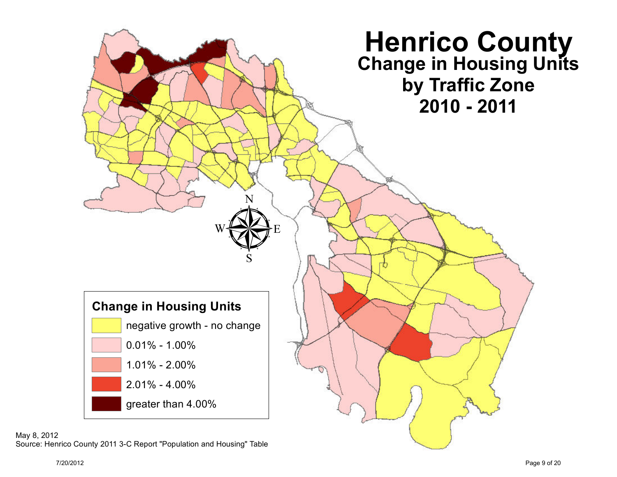

May 8, 2012 Source: Henrico County 2011 3-C Report "Population and Housing" Table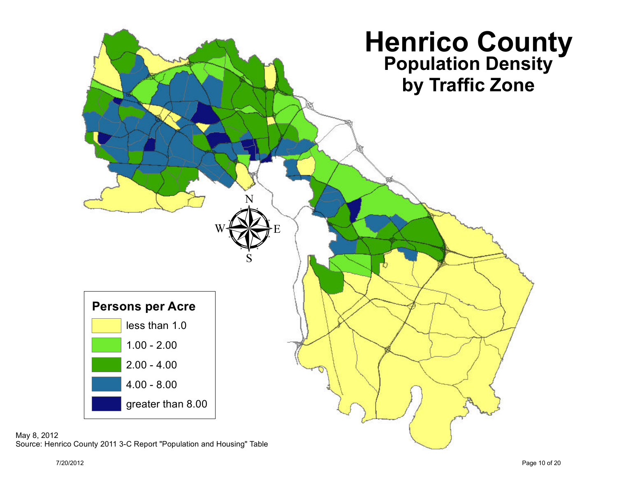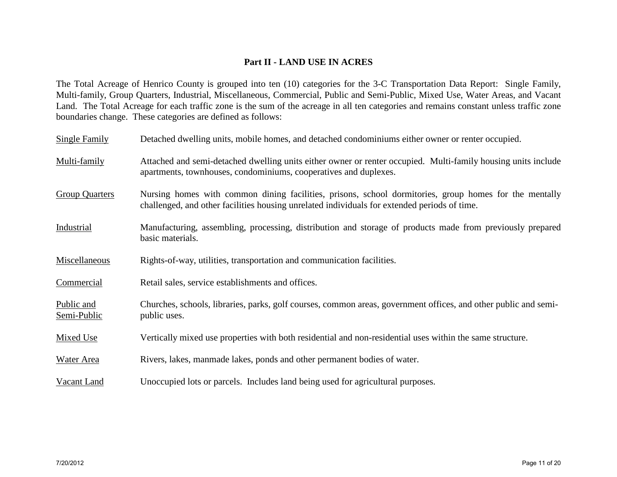## **Part II - LAND USE IN ACRES**

The Total Acreage of Henrico County is grouped into ten (10) categories for the 3-C Transportation Data Report: Single Family, Multi-family, Group Quarters, Industrial, Miscellaneous, Commercial, Public and Semi-Public, Mixed Use, Water Areas, and Vacant Land. The Total Acreage for each traffic zone is the sum of the acreage in all ten categories and remains constant unless traffic zone boundaries change. These categories are defined as follows:

| Single Family             | Detached dwelling units, mobile homes, and detached condominiums either owner or renter occupied.                                                                                                      |
|---------------------------|--------------------------------------------------------------------------------------------------------------------------------------------------------------------------------------------------------|
| Multi-family              | Attached and semi-detached dwelling units either owner or renter occupied. Multi-family housing units include<br>apartments, townhouses, condominiums, cooperatives and duplexes.                      |
| <b>Group Quarters</b>     | Nursing homes with common dining facilities, prisons, school dormitories, group homes for the mentally<br>challenged, and other facilities housing unrelated individuals for extended periods of time. |
| Industrial                | Manufacturing, assembling, processing, distribution and storage of products made from previously prepared<br>basic materials.                                                                          |
| Miscellaneous             | Rights-of-way, utilities, transportation and communication facilities.                                                                                                                                 |
| Commercial                | Retail sales, service establishments and offices.                                                                                                                                                      |
| Public and<br>Semi-Public | Churches, schools, libraries, parks, golf courses, common areas, government offices, and other public and semi-<br>public uses.                                                                        |
| Mixed Use                 | Vertically mixed use properties with both residential and non-residential uses within the same structure.                                                                                              |
| <b>Water Area</b>         | Rivers, lakes, manmade lakes, ponds and other permanent bodies of water.                                                                                                                               |
| Vacant Land               | Unoccupied lots or parcels. Includes land being used for agricultural purposes.                                                                                                                        |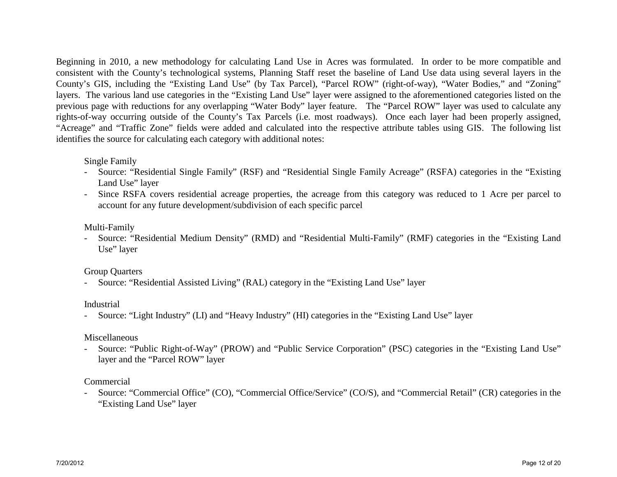Beginning in 2010, a new methodology for calculating Land Use in Acres was formulated. In order to be more compatible and consistent with the County's technological systems, Planning Staff reset the baseline of Land Use data using several layers in the County's GIS, including the "Existing Land Use" (by Tax Parcel), "Parcel ROW" (right-of-way), "Water Bodies," and "Zoning" layers. The various land use categories in the "Existing Land Use" layer were assigned to the aforementioned categories listed on the previous page with reductions for any overlapping "Water Body" layer feature. The "Parcel ROW" layer was used to calculate any rights-of-way occurring outside of the County's Tax Parcels (i.e. most roadways). Once each layer had been properly assigned, "Acreage" and "Traffic Zone" fields were added and calculated into the respective attribute tables using GIS. The following list identifies the source for calculating each category with additional notes:

#### Single Family

- Source: "Residential Single Family" (RSF) and "Residential Single Family Acreage" (RSFA) categories in the "Existing Land Use" layer
- Since RSFA covers residential acreage properties, the acreage from this category was reduced to 1 Acre per parcel to account for any future development/subdivision of each specific parcel

#### Multi-Family

- Source: "Residential Medium Density" (RMD) and "Residential Multi-Family" (RMF) categories in the "Existing Land Use" layer

#### Group Quarters

- Source: "Residential Assisted Living" (RAL) category in the "Existing Land Use" layer

#### Industrial

- Source: "Light Industry" (LI) and "Heavy Industry" (HI) categories in the "Existing Land Use" layer

#### Miscellaneous

- Source: "Public Right-of-Way" (PROW) and "Public Service Corporation" (PSC) categories in the "Existing Land Use" layer and the "Parcel ROW" layer

#### Commercial

- Source: "Commercial Office" (CO), "Commercial Office/Service" (CO/S), and "Commercial Retail" (CR) categories in the "Existing Land Use" layer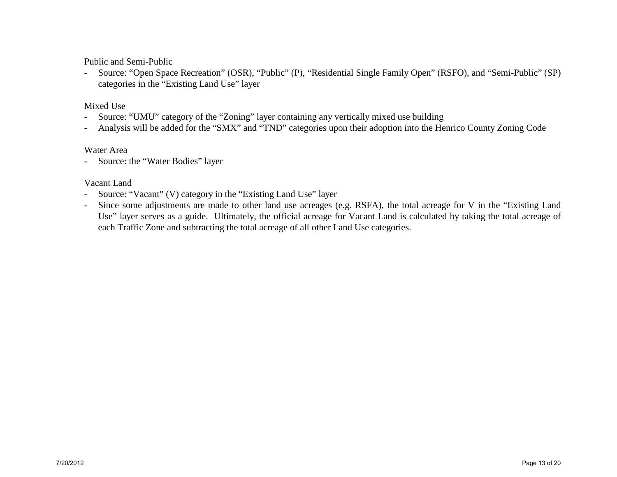Public and Semi-Public

- Source: "Open Space Recreation" (OSR), "Public" (P), "Residential Single Family Open" (RSFO), and "Semi-Public" (SP) categories in the "Existing Land Use" layer

## Mixed Use

- Source: "UMU" category of the "Zoning" layer containing any vertically mixed use building
- Analysis will be added for the "SMX" and "TND" categories upon their adoption into the Henrico County Zoning Code

#### Water Area

- Source: the "Water Bodies" layer

## Vacant Land

- Source: "Vacant" (V) category in the "Existing Land Use" layer
- Since some adjustments are made to other land use acreages (e.g. RSFA), the total acreage for V in the "Existing Land Use" layer serves as a guide. Ultimately, the official acreage for Vacant Land is calculated by taking the total acreage of each Traffic Zone and subtracting the total acreage of all other Land Use categories.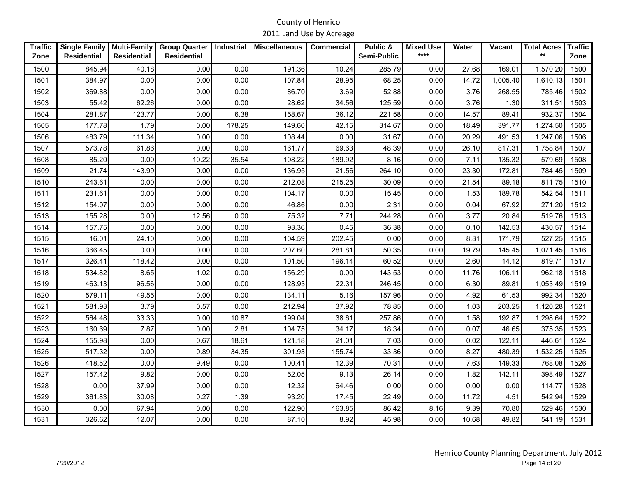| <b>Traffic</b> | <b>Single Family</b> | <b>Multi-Family</b> | <b>Group Quarter</b> | <b>Industrial</b> | <b>Miscellaneous</b> | <b>Commercial</b> | Public &    | <b>Mixed Use</b> | Water | Vacant   | <b>Total Acres</b> | <b>Traffic</b> |
|----------------|----------------------|---------------------|----------------------|-------------------|----------------------|-------------------|-------------|------------------|-------|----------|--------------------|----------------|
| Zone           | <b>Residential</b>   | <b>Residential</b>  | <b>Residential</b>   |                   |                      |                   | Semi-Public | $****$           |       |          | $***$              | Zone           |
| 1500           | 845.94               | 40.18               | 0.00                 | 0.00              | 191.36               | 10.24             | 285.79      | 0.00             | 27.68 | 169.01   | 1,570.20           | 1500           |
| 1501           | 384.97               | 0.00                | 0.00                 | 0.00              | 107.84               | 28.95             | 68.25       | 0.00             | 14.72 | 1,005.40 | 1.610.13           | 1501           |
| 1502           | 369.88               | 0.00                | 0.00                 | 0.00              | 86.70                | 3.69              | 52.88       | 0.00             | 3.76  | 268.55   | 785.46             | 1502           |
| 1503           | 55.42                | 62.26               | 0.00                 | 0.00              | 28.62                | 34.56             | 125.59      | 0.00             | 3.76  | 1.30     | 311.51             | 1503           |
| 1504           | 281.87               | 123.77              | 0.00                 | 6.38              | 158.67               | 36.12             | 221.58      | 0.00             | 14.57 | 89.41    | 932.37             | 1504           |
| 1505           | 177.78               | 1.79                | 0.00                 | 178.25            | 149.60               | 42.15             | 314.67      | 0.00             | 18.49 | 391.77   | 1,274.50           | 1505           |
| 1506           | 483.79               | 111.34              | 0.00                 | 0.00              | 108.44               | 0.00              | 31.67       | 0.00             | 20.29 | 491.53   | 1,247.06           | 1506           |
| 1507           | 573.78               | 61.86               | 0.00                 | 0.00              | 161.77               | 69.63             | 48.39       | 0.00             | 26.10 | 817.31   | 1,758.84           | 1507           |
| 1508           | 85.20                | 0.00                | 10.22                | 35.54             | 108.22               | 189.92            | 8.16        | 0.00             | 7.11  | 135.32   | 579.69             | 1508           |
| 1509           | 21.74                | 143.99              | 0.00                 | 0.00              | 136.95               | 21.56             | 264.10      | 0.00             | 23.30 | 172.81   | 784.45             | 1509           |
| 1510           | 243.61               | 0.00                | 0.00                 | 0.00              | 212.08               | 215.25            | 30.09       | 0.00             | 21.54 | 89.18    | 811.75             | 1510           |
| 1511           | 231.61               | 0.00                | 0.00                 | 0.00              | 104.17               | 0.00              | 15.45       | 0.00             | 1.53  | 189.78   | 542.54             | 1511           |
| 1512           | 154.07               | 0.00                | 0.00                 | 0.00              | 46.86                | 0.00              | 2.31        | 0.00             | 0.04  | 67.92    | 271.20             | 1512           |
| 1513           | 155.28               | 0.00                | 12.56                | 0.00              | 75.32                | 7.71              | 244.28      | 0.00             | 3.77  | 20.84    | 519.76             | 1513           |
| 1514           | 157.75               | 0.00                | 0.00                 | 0.00              | 93.36                | 0.45              | 36.38       | 0.00             | 0.10  | 142.53   | 430.57             | 1514           |
| 1515           | 16.01                | 24.10               | 0.00                 | 0.00              | 104.59               | 202.45            | 0.00        | 0.00             | 8.31  | 171.79   | 527.25             | 1515           |
| 1516           | 366.45               | 0.00                | 0.00                 | 0.00              | 207.60               | 281.81            | 50.35       | 0.00             | 19.79 | 145.45   | 1,071.45           | 1516           |
| 1517           | 326.41               | 118.42              | 0.00                 | 0.00              | 101.50               | 196.14            | 60.52       | 0.00             | 2.60  | 14.12    | 819.71             | 1517           |
| 1518           | 534.82               | 8.65                | 1.02                 | 0.00              | 156.29               | 0.00              | 143.53      | 0.00             | 11.76 | 106.11   | 962.18             | 1518           |
| 1519           | 463.13               | 96.56               | 0.00                 | 0.00              | 128.93               | 22.31             | 246.45      | 0.00             | 6.30  | 89.81    | 1,053.49           | 1519           |
| 1520           | 579.11               | 49.55               | 0.00                 | 0.00              | 134.11               | 5.16              | 157.96      | 0.00             | 4.92  | 61.53    | 992.34             | 1520           |
| 1521           | 581.93               | 3.79                | 0.57                 | 0.00              | 212.94               | 37.92             | 78.85       | 0.00             | 1.03  | 203.25   | 1,120.28           | 1521           |
| 1522           | 564.48               | 33.33               | 0.00                 | 10.87             | 199.04               | 38.61             | 257.86      | 0.00             | 1.58  | 192.87   | 1,298.64           | 1522           |
| 1523           | 160.69               | 7.87                | 0.00                 | 2.81              | 104.75               | 34.17             | 18.34       | 0.00             | 0.07  | 46.65    | 375.35             | 1523           |
| 1524           | 155.98               | 0.00                | 0.67                 | 18.61             | 121.18               | 21.01             | 7.03        | 0.00             | 0.02  | 122.11   | 446.61             | 1524           |
| 1525           | 517.32               | 0.00                | 0.89                 | 34.35             | 301.93               | 155.74            | 33.36       | 0.00             | 8.27  | 480.39   | 1,532.25           | 1525           |
| 1526           | 418.52               | 0.00                | 9.49                 | 0.00              | 100.41               | 12.39             | 70.31       | 0.00             | 7.63  | 149.33   | 768.08             | 1526           |
| 1527           | 157.42               | 9.82                | 0.00                 | 0.00              | 52.05                | 9.13              | 26.14       | 0.00             | 1.82  | 142.11   | 398.49             | 1527           |
| 1528           | 0.00                 | 37.99               | 0.00                 | 0.00              | 12.32                | 64.46             | 0.00        | 0.00             | 0.00  | 0.00     | 114.77             | 1528           |
| 1529           | 361.83               | 30.08               | 0.27                 | 1.39              | 93.20                | 17.45             | 22.49       | 0.00             | 11.72 | 4.51     | 542.94             | 1529           |
| 1530           | 0.00                 | 67.94               | 0.00                 | 0.00              | 122.90               | 163.85            | 86.42       | 8.16             | 9.39  | 70.80    | 529.46             | 1530           |
| 1531           | 326.62               | 12.07               | 0.00                 | 0.00              | 87.10                | 8.92              | 45.98       | 0.00             | 10.68 | 49.82    | 541.19             | 1531           |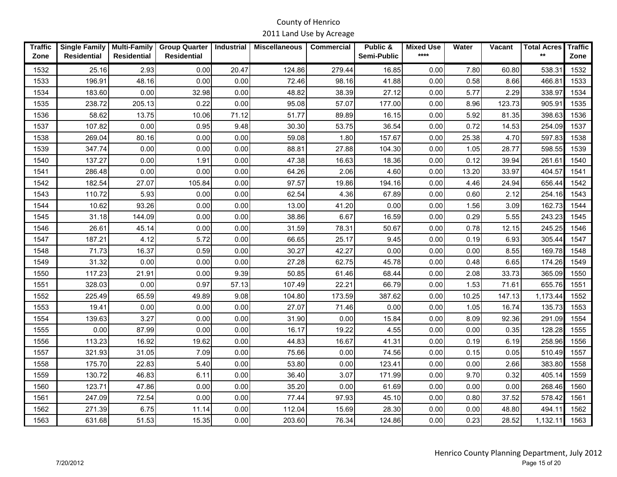| <b>Traffic</b><br>Zone | <b>Single Family</b><br><b>Residential</b> | <b>Multi-Family</b><br><b>Residential</b> | <b>Group Quarter</b><br><b>Residential</b> | <b>Industrial</b> | <b>Miscellaneous</b> | <b>Commercial</b> | Public &<br>Semi-Public | <b>Mixed Use</b><br>**** | Water | <b>Vacant</b> | <b>Total Acres</b><br>$***$ | <b>Traffic</b><br>Zone |
|------------------------|--------------------------------------------|-------------------------------------------|--------------------------------------------|-------------------|----------------------|-------------------|-------------------------|--------------------------|-------|---------------|-----------------------------|------------------------|
| 1532                   | 25.16                                      | 2.93                                      | 0.00                                       | 20.47             | 124.86               | 279.44            | 16.85                   | 0.00                     | 7.80  | 60.80         | 538.31                      | 1532                   |
| 1533                   | 196.91                                     | 48.16                                     | 0.00                                       | 0.00              | 72.46                | 98.16             | 41.88                   | 0.00                     | 0.58  | 8.66          | 466.81                      | 1533                   |
| 1534                   | 183.60                                     | 0.00                                      | 32.98                                      | 0.00              | 48.82                | 38.39             | 27.12                   | 0.00                     | 5.77  | 2.29          | 338.97                      | 1534                   |
| 1535                   | 238.72                                     | 205.13                                    | 0.22                                       | 0.00              | 95.08                | 57.07             | 177.00                  | 0.00                     | 8.96  | 123.73        | 905.91                      | 1535                   |
| 1536                   | 58.62                                      | 13.75                                     | 10.06                                      | 71.12             | 51.77                | 89.89             | 16.15                   | 0.00                     | 5.92  | 81.35         | 398.63                      | 1536                   |
| 1537                   | 107.82                                     | 0.00                                      | 0.95                                       | 9.48              | 30.30                | 53.75             | 36.54                   | 0.00                     | 0.72  | 14.53         | 254.09                      | 1537                   |
| 1538                   | 269.04                                     | 80.16                                     | 0.00                                       | 0.00              | 59.08                | 1.80              | 157.67                  | 0.00                     | 25.38 | 4.70          | 597.83                      | 1538                   |
| 1539                   | 347.74                                     | 0.00                                      | 0.00                                       | 0.00              | 88.81                | 27.88             | 104.30                  | 0.00                     | 1.05  | 28.77         | 598.55                      | 1539                   |
| 1540                   | 137.27                                     | 0.00                                      | 1.91                                       | 0.00              | 47.38                | 16.63             | 18.36                   | 0.00                     | 0.12  | 39.94         | 261.61                      | 1540                   |
| 1541                   | 286.48                                     | 0.00                                      | 0.00                                       | 0.00              | 64.26                | 2.06              | 4.60                    | 0.00                     | 13.20 | 33.97         | 404.57                      | 1541                   |
| 1542                   | 182.54                                     | 27.07                                     | 105.84                                     | 0.00              | 97.57                | 19.86             | 194.16                  | 0.00                     | 4.46  | 24.94         | 656.44                      | 1542                   |
| 1543                   | 110.72                                     | 5.93                                      | 0.00                                       | 0.00              | 62.54                | 4.36              | 67.89                   | 0.00                     | 0.60  | 2.12          | 254.16                      | 1543                   |
| 1544                   | 10.62                                      | 93.26                                     | 0.00                                       | 0.00              | 13.00                | 41.20             | 0.00                    | 0.00                     | 1.56  | 3.09          | 162.73                      | 1544                   |
| 1545                   | 31.18                                      | 144.09                                    | 0.00                                       | 0.00              | 38.86                | 6.67              | 16.59                   | 0.00                     | 0.29  | 5.55          | 243.23                      | 1545                   |
| 1546                   | 26.61                                      | 45.14                                     | 0.00                                       | 0.00              | 31.59                | 78.31             | 50.67                   | 0.00                     | 0.78  | 12.15         | 245.25                      | 1546                   |
| 1547                   | 187.21                                     | 4.12                                      | 5.72                                       | 0.00              | 66.65                | 25.17             | 9.45                    | 0.00                     | 0.19  | 6.93          | 305.44                      | 1547                   |
| 1548                   | 71.73                                      | 16.37                                     | 0.59                                       | 0.00              | 30.27                | 42.27             | 0.00                    | 0.00                     | 0.00  | 8.55          | 169.78                      | 1548                   |
| 1549                   | 31.32                                      | 0.00                                      | 0.00                                       | 0.00              | 27.28                | 62.75             | 45.78                   | 0.00                     | 0.48  | 6.65          | 174.26                      | 1549                   |
| 1550                   | 117.23                                     | 21.91                                     | 0.00                                       | 9.39              | 50.85                | 61.46             | 68.44                   | 0.00                     | 2.08  | 33.73         | 365.09                      | 1550                   |
| 1551                   | 328.03                                     | 0.00                                      | 0.97                                       | 57.13             | 107.49               | 22.21             | 66.79                   | 0.00                     | 1.53  | 71.61         | 655.76                      | 1551                   |
| 1552                   | 225.49                                     | 65.59                                     | 49.89                                      | 9.08              | 104.80               | 173.59            | 387.62                  | 0.00                     | 10.25 | 147.13        | 1,173.44                    | 1552                   |
| 1553                   | 19.41                                      | 0.00                                      | 0.00                                       | 0.00              | 27.07                | 71.46             | 0.00                    | 0.00                     | 1.05  | 16.74         | 135.73                      | 1553                   |
| 1554                   | 139.63                                     | 3.27                                      | 0.00                                       | 0.00              | 31.90                | 0.00              | 15.84                   | 0.00                     | 8.09  | 92.36         | 291.09                      | 1554                   |
| 1555                   | 0.00                                       | 87.99                                     | 0.00                                       | 0.00              | 16.17                | 19.22             | 4.55                    | 0.00                     | 0.00  | 0.35          | 128.28                      | 1555                   |
| 1556                   | 113.23                                     | 16.92                                     | 19.62                                      | 0.00              | 44.83                | 16.67             | 41.31                   | 0.00                     | 0.19  | 6.19          | 258.96                      | 1556                   |
| 1557                   | 321.93                                     | 31.05                                     | 7.09                                       | 0.00              | 75.66                | 0.00              | 74.56                   | 0.00                     | 0.15  | 0.05          | 510.49                      | 1557                   |
| 1558                   | 175.70                                     | 22.83                                     | 5.40                                       | 0.00              | 53.80                | 0.00              | 123.41                  | 0.00                     | 0.00  | 2.66          | 383.80                      | 1558                   |
| 1559                   | 130.72                                     | 46.83                                     | 6.11                                       | 0.00              | 36.40                | 3.07              | 171.99                  | 0.00                     | 9.70  | 0.32          | 405.14                      | 1559                   |
| 1560                   | 123.71                                     | 47.86                                     | 0.00                                       | 0.00              | 35.20                | 0.00              | 61.69                   | 0.00                     | 0.00  | 0.00          | 268.46                      | 1560                   |
| 1561                   | 247.09                                     | 72.54                                     | 0.00                                       | 0.00              | 77.44                | 97.93             | 45.10                   | 0.00                     | 0.80  | 37.52         | 578.42                      | 1561                   |
| 1562                   | 271.39                                     | 6.75                                      | 11.14                                      | 0.00              | 112.04               | 15.69             | 28.30                   | 0.00                     | 0.00  | 48.80         | 494.11                      | 1562                   |
| 1563                   | 631.68                                     | 51.53                                     | 15.35                                      | 0.00              | 203.60               | 76.34             | 124.86                  | 0.00                     | 0.23  | 28.52         | 1,132.11                    | 1563                   |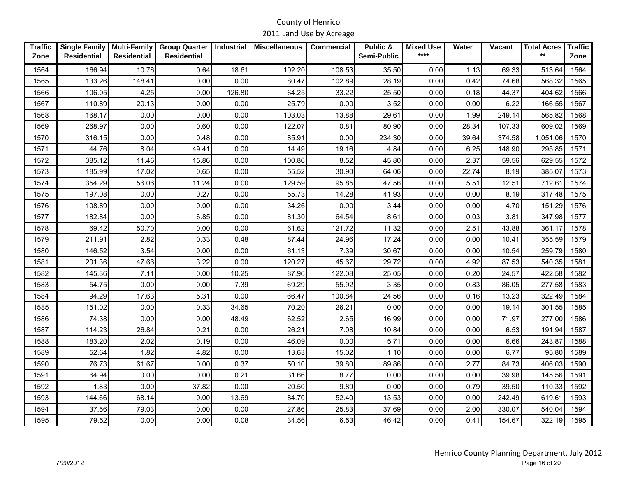| <b>Traffic</b><br>Zone | <b>Single Family</b><br><b>Residential</b> | <b>Multi-Family</b><br><b>Residential</b> | <b>Group Quarter</b><br><b>Residential</b> | <b>Industrial</b> | <b>Miscellaneous</b> | <b>Commercial</b> | Public &<br>Semi-Public | <b>Mixed Use</b><br>$****$ | Water | Vacant | <b>Total Acres</b><br>$***$ | <b>Traffic</b><br>Zone |
|------------------------|--------------------------------------------|-------------------------------------------|--------------------------------------------|-------------------|----------------------|-------------------|-------------------------|----------------------------|-------|--------|-----------------------------|------------------------|
|                        |                                            |                                           |                                            |                   |                      |                   |                         |                            |       |        |                             |                        |
| 1564                   | 166.94                                     | 10.76                                     | 0.64                                       | 18.61             | 102.20               | 108.53            | 35.50                   | 0.00                       | 1.13  | 69.33  | 513.64                      | 1564                   |
| 1565                   | 133.26                                     | 148.41                                    | 0.00                                       | 0.00              | 80.47                | 102.89            | 28.19                   | 0.00                       | 0.42  | 74.68  | 568.32                      | 1565                   |
| 1566                   | 106.05                                     | 4.25                                      | 0.00                                       | 126.80            | 64.25                | 33.22             | 25.50                   | 0.00                       | 0.18  | 44.37  | 404.62                      | 1566                   |
| 1567                   | 110.89                                     | 20.13                                     | 0.00                                       | 0.00              | 25.79                | 0.00              | 3.52                    | 0.00                       | 0.00  | 6.22   | 166.55                      | 1567                   |
| 1568                   | 168.17                                     | 0.00                                      | 0.00                                       | 0.00              | 103.03               | 13.88             | 29.61                   | 0.00                       | 1.99  | 249.14 | 565.82                      | 1568                   |
| 1569                   | 268.97                                     | 0.00                                      | 0.60                                       | 0.00              | 122.07               | 0.81              | 80.90                   | 0.00                       | 28.34 | 107.33 | 609.02                      | 1569                   |
| 1570                   | 316.15                                     | 0.00                                      | 0.48                                       | 0.00              | 85.91                | 0.00              | 234.30                  | 0.00                       | 39.64 | 374.58 | 1,051.06                    | 1570                   |
| 1571                   | 44.76                                      | 8.04                                      | 49.41                                      | 0.00              | 14.49                | 19.16             | 4.84                    | 0.00                       | 6.25  | 148.90 | 295.85                      | 1571                   |
| 1572                   | 385.12                                     | 11.46                                     | 15.86                                      | 0.00              | 100.86               | 8.52              | 45.80                   | 0.00                       | 2.37  | 59.56  | 629.55                      | 1572                   |
| 1573                   | 185.99                                     | 17.02                                     | 0.65                                       | 0.00              | 55.52                | 30.90             | 64.06                   | 0.00                       | 22.74 | 8.19   | 385.07                      | 1573                   |
| 1574                   | 354.29                                     | 56.06                                     | 11.24                                      | 0.00              | 129.59               | 95.85             | 47.56                   | 0.00                       | 5.51  | 12.51  | 712.61                      | 1574                   |
| 1575                   | 197.08                                     | 0.00                                      | 0.27                                       | 0.00              | 55.73                | 14.28             | 41.93                   | 0.00                       | 0.00  | 8.19   | 317.48                      | 1575                   |
| 1576                   | 108.89                                     | 0.00                                      | 0.00                                       | 0.00              | 34.26                | 0.00              | 3.44                    | 0.00                       | 0.00  | 4.70   | 151.29                      | 1576                   |
| 1577                   | 182.84                                     | 0.00                                      | 6.85                                       | 0.00              | 81.30                | 64.54             | 8.61                    | 0.00                       | 0.03  | 3.81   | 347.98                      | 1577                   |
| 1578                   | 69.42                                      | 50.70                                     | 0.00                                       | 0.00              | 61.62                | 121.72            | 11.32                   | 0.00                       | 2.51  | 43.88  | 361.17                      | 1578                   |
| 1579                   | 211.91                                     | 2.82                                      | 0.33                                       | 0.48              | 87.44                | 24.96             | 17.24                   | 0.00                       | 0.00  | 10.41  | 355.59                      | 1579                   |
| 1580                   | 146.52                                     | 3.54                                      | 0.00                                       | 0.00              | 61.13                | 7.39              | 30.67                   | 0.00                       | 0.00  | 10.54  | 259.79                      | 1580                   |
| 1581                   | 201.36                                     | 47.66                                     | 3.22                                       | 0.00              | 120.27               | 45.67             | 29.72                   | 0.00                       | 4.92  | 87.53  | 540.35                      | 1581                   |
| 1582                   | 145.36                                     | 7.11                                      | 0.00                                       | 10.25             | 87.96                | 122.08            | 25.05                   | 0.00                       | 0.20  | 24.57  | 422.58                      | 1582                   |
| 1583                   | 54.75                                      | 0.00                                      | 0.00                                       | 7.39              | 69.29                | 55.92             | 3.35                    | 0.00                       | 0.83  | 86.05  | 277.58                      | 1583                   |
| 1584                   | 94.29                                      | 17.63                                     | 5.31                                       | 0.00              | 66.47                | 100.84            | 24.56                   | 0.00                       | 0.16  | 13.23  | 322.49                      | 1584                   |
| 1585                   | 151.02                                     | 0.00                                      | 0.33                                       | 34.65             | 70.20                | 26.21             | 0.00                    | 0.00                       | 0.00  | 19.14  | 301.55                      | 1585                   |
| 1586                   | 74.38                                      | 0.00                                      | 0.00                                       | 48.49             | 62.52                | 2.65              | 16.99                   | 0.00                       | 0.00  | 71.97  | 277.00                      | 1586                   |
| 1587                   | 114.23                                     | 26.84                                     | 0.21                                       | 0.00              | 26.21                | 7.08              | 10.84                   | 0.00                       | 0.00  | 6.53   | 191.94                      | 1587                   |
| 1588                   | 183.20                                     | 2.02                                      | 0.19                                       | 0.00              | 46.09                | 0.00              | 5.71                    | 0.00                       | 0.00  | 6.66   | 243.87                      | 1588                   |
| 1589                   | 52.64                                      | 1.82                                      | 4.82                                       | 0.00              | 13.63                | 15.02             | 1.10                    | 0.00                       | 0.00  | 6.77   | 95.80                       | 1589                   |
| 1590                   | 76.73                                      | 61.67                                     | 0.00                                       | 0.37              | 50.10                | 39.80             | 89.86                   | 0.00                       | 2.77  | 84.73  | 406.03                      | 1590                   |
| 1591                   | 64.94                                      | 0.00                                      | 0.00                                       | 0.21              | 31.66                | 8.77              | 0.00                    | 0.00                       | 0.00  | 39.98  | 145.56                      | 1591                   |
| 1592                   | 1.83                                       | 0.00                                      | 37.82                                      | 0.00              | 20.50                | 9.89              | 0.00                    | 0.00                       | 0.79  | 39.50  | 110.33                      | 1592                   |
| 1593                   | 144.66                                     | 68.14                                     | 0.00                                       | 13.69             | 84.70                | 52.40             | 13.53                   | 0.00                       | 0.00  | 242.49 | 619.61                      | 1593                   |
| 1594                   | 37.56                                      | 79.03                                     | 0.00                                       | 0.00              | 27.86                | 25.83             | 37.69                   | 0.00                       | 2.00  | 330.07 | 540.04                      | 1594                   |
| 1595                   | 79.52                                      | 0.00                                      | 0.00                                       | 0.08              | 34.56                | 6.53              | 46.42                   | 0.00                       | 0.41  | 154.67 | 322.19                      | 1595                   |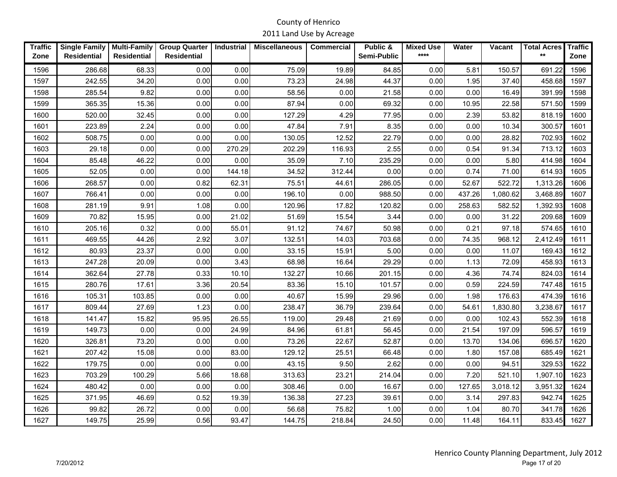| <b>Traffic</b><br>Zone | <b>Single Family</b><br><b>Residential</b> | <b>Multi-Family</b><br><b>Residential</b> | <b>Group Quarter</b><br><b>Residential</b> | <b>Industrial</b> | <b>Miscellaneous</b> | <b>Commercial</b> | Public &<br>Semi-Public | <b>Mixed Use</b><br>$****$ | Water  | <b>Vacant</b> | <b>Total Acres</b><br>$***$ | <b>Traffic</b><br>Zone |
|------------------------|--------------------------------------------|-------------------------------------------|--------------------------------------------|-------------------|----------------------|-------------------|-------------------------|----------------------------|--------|---------------|-----------------------------|------------------------|
|                        |                                            |                                           |                                            |                   |                      |                   |                         |                            |        |               |                             |                        |
| 1596                   | 286.68                                     | 68.33                                     | 0.00                                       | 0.00              | 75.09                | 19.89             | 84.85                   | 0.00                       | 5.81   | 150.57        | 691.22                      | 1596                   |
| 1597                   | 242.55                                     | 34.20                                     | 0.00                                       | 0.00              | 73.23                | 24.98             | 44.37                   | 0.00                       | 1.95   | 37.40         | 458.68                      | 1597                   |
| 1598                   | 285.54                                     | 9.82                                      | 0.00                                       | 0.00              | 58.56                | 0.00              | 21.58                   | 0.00                       | 0.00   | 16.49         | 391.99                      | 1598                   |
| 1599                   | 365.35                                     | 15.36                                     | 0.00                                       | 0.00              | 87.94                | 0.00              | 69.32                   | 0.00                       | 10.95  | 22.58         | 571.50                      | 1599                   |
| 1600                   | 520.00                                     | 32.45                                     | 0.00                                       | 0.00              | 127.29               | 4.29              | 77.95                   | 0.00                       | 2.39   | 53.82         | 818.19                      | 1600                   |
| 1601                   | 223.89                                     | 2.24                                      | 0.00                                       | 0.00              | 47.84                | 7.91              | 8.35                    | 0.00                       | 0.00   | 10.34         | 300.57                      | 1601                   |
| 1602                   | 508.75                                     | 0.00                                      | 0.00                                       | 0.00              | 130.05               | 12.52             | 22.79                   | 0.00                       | 0.00   | 28.82         | 702.93                      | 1602                   |
| 1603                   | 29.18                                      | 0.00                                      | 0.00                                       | 270.29            | 202.29               | 116.93            | 2.55                    | 0.00                       | 0.54   | 91.34         | 713.12                      | 1603                   |
| 1604                   | 85.48                                      | 46.22                                     | 0.00                                       | 0.00              | 35.09                | 7.10              | 235.29                  | 0.00                       | 0.00   | 5.80          | 414.98                      | 1604                   |
| 1605                   | 52.05                                      | 0.00                                      | 0.00                                       | 144.18            | 34.52                | 312.44            | 0.00                    | 0.00                       | 0.74   | 71.00         | 614.93                      | 1605                   |
| 1606                   | 268.57                                     | 0.00                                      | 0.82                                       | 62.31             | 75.51                | 44.61             | 286.05                  | 0.00                       | 52.67  | 522.72        | 1,313.26                    | 1606                   |
| 1607                   | 766.41                                     | 0.00                                      | 0.00                                       | 0.00              | 196.10               | 0.00              | 988.50                  | 0.00                       | 437.26 | 1,080.62      | 3,468.89                    | 1607                   |
| 1608                   | 281.19                                     | 9.91                                      | 1.08                                       | 0.00              | 120.96               | 17.82             | 120.82                  | 0.00                       | 258.63 | 582.52        | 1,392.93                    | 1608                   |
| 1609                   | 70.82                                      | 15.95                                     | 0.00                                       | 21.02             | 51.69                | 15.54             | 3.44                    | 0.00                       | 0.00   | 31.22         | 209.68                      | 1609                   |
| 1610                   | 205.16                                     | 0.32                                      | 0.00                                       | 55.01             | 91.12                | 74.67             | 50.98                   | 0.00                       | 0.21   | 97.18         | 574.65                      | 1610                   |
| 1611                   | 469.55                                     | 44.26                                     | 2.92                                       | 3.07              | 132.51               | 14.03             | 703.68                  | 0.00                       | 74.35  | 968.12        | 2,412.49                    | 1611                   |
| 1612                   | 80.93                                      | 23.37                                     | 0.00                                       | 0.00              | 33.15                | 15.91             | 5.00                    | 0.00                       | 0.00   | 11.07         | 169.43                      | 1612                   |
| 1613                   | 247.28                                     | 20.09                                     | 0.00                                       | 3.43              | 68.98                | 16.64             | 29.29                   | 0.00                       | 1.13   | 72.09         | 458.93                      | 1613                   |
| 1614                   | 362.64                                     | 27.78                                     | 0.33                                       | 10.10             | 132.27               | 10.66             | 201.15                  | 0.00                       | 4.36   | 74.74         | 824.03                      | 1614                   |
| 1615                   | 280.76                                     | 17.61                                     | 3.36                                       | 20.54             | 83.36                | 15.10             | 101.57                  | 0.00                       | 0.59   | 224.59        | 747.48                      | 1615                   |
| 1616                   | 105.31                                     | 103.85                                    | 0.00                                       | 0.00              | 40.67                | 15.99             | 29.96                   | 0.00                       | 1.98   | 176.63        | 474.39                      | 1616                   |
| 1617                   | 809.44                                     | 27.69                                     | 1.23                                       | 0.00              | 238.47               | 36.79             | 239.64                  | 0.00                       | 54.61  | 1,830.80      | 3,238.67                    | 1617                   |
| 1618                   | 141.47                                     | 15.82                                     | 95.95                                      | 26.55             | 119.00               | 29.48             | 21.69                   | 0.00                       | 0.00   | 102.43        | 552.39                      | 1618                   |
| 1619                   | 149.73                                     | 0.00                                      | 0.00                                       | 24.99             | 84.96                | 61.81             | 56.45                   | 0.00                       | 21.54  | 197.09        | 596.57                      | 1619                   |
| 1620                   | 326.81                                     | 73.20                                     | 0.00                                       | 0.00              | 73.26                | 22.67             | 52.87                   | 0.00                       | 13.70  | 134.06        | 696.57                      | 1620                   |
| 1621                   | 207.42                                     | 15.08                                     | 0.00                                       | 83.00             | 129.12               | 25.51             | 66.48                   | 0.00                       | 1.80   | 157.08        | 685.49                      | 1621                   |
| 1622                   | 179.75                                     | 0.00                                      | 0.00                                       | 0.00              | 43.15                | 9.50              | 2.62                    | 0.00                       | 0.00   | 94.51         | 329.53                      | 1622                   |
| 1623                   | 703.29                                     | 100.29                                    | 5.66                                       | 18.68             | 313.63               | 23.21             | 214.04                  | 0.00                       | 7.20   | 521.10        | 1,907.10                    | 1623                   |
| 1624                   | 480.42                                     | 0.00                                      | 0.00                                       | 0.00              | 308.46               | 0.00              | 16.67                   | 0.00                       | 127.65 | 3,018.12      | 3,951.32                    | 1624                   |
| 1625                   | 371.95                                     | 46.69                                     | 0.52                                       | 19.39             | 136.38               | 27.23             | 39.61                   | 0.00                       | 3.14   | 297.83        | 942.74                      | 1625                   |
| 1626                   | 99.82                                      | 26.72                                     | 0.00                                       | 0.00              | 56.68                | 75.82             | 1.00                    | 0.00                       | 1.04   | 80.70         | 341.78                      | 1626                   |
| 1627                   | 149.75                                     | 25.99                                     | 0.56                                       | 93.47             | 144.75               | 218.84            | 24.50                   | 0.00                       | 11.48  | 164.11        | 833.45                      | 1627                   |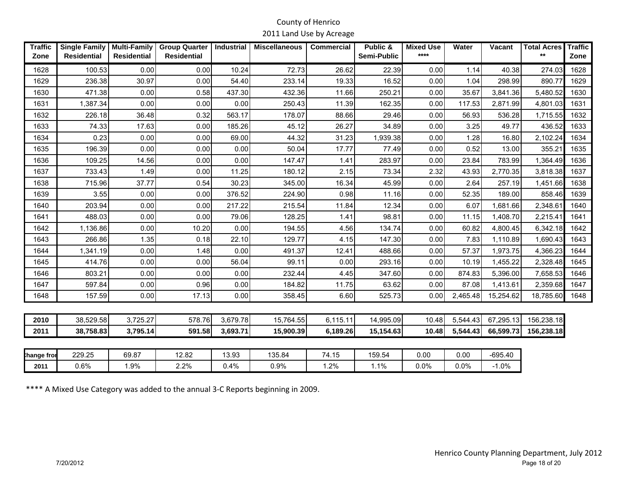| <b>Traffic</b><br>Zone | <b>Single Family</b><br><b>Residential</b> | <b>Multi-Family</b><br><b>Residential</b> | <b>Group Quarter</b><br><b>Residential</b> | Industrial | <b>Miscellaneous</b> | <b>Commercial</b> | Public &<br>Semi-Public | <b>Mixed Use</b><br>**** | Water    | Vacant    | <b>Total Acres</b><br>$***$ | <b>Traffic</b><br>Zone |
|------------------------|--------------------------------------------|-------------------------------------------|--------------------------------------------|------------|----------------------|-------------------|-------------------------|--------------------------|----------|-----------|-----------------------------|------------------------|
| 1628                   | 100.53                                     | 0.00                                      | 0.00                                       | 10.24      | 72.73                | 26.62             | 22.39                   | 0.00                     | 1.14     | 40.38     | 274.03                      | 1628                   |
| 1629                   | 236.38                                     | 30.97                                     | 0.00                                       | 54.40      | 233.14               | 19.33             | 16.52                   | 0.00                     | 1.04     | 298.99    | 890.77                      | 1629                   |
| 1630                   | 471.38                                     | 0.00                                      | 0.58                                       | 437.30     | 432.36               | 11.66             | 250.21                  | 0.00                     | 35.67    | 3,841.36  | 5,480.52                    | 1630                   |
| 1631                   | 1,387.34                                   | 0.00                                      | 0.00                                       | 0.00       | 250.43               | 11.39             | 162.35                  | 0.00                     | 117.53   | 2,871.99  | 4,801.03                    | 1631                   |
| 1632                   | 226.18                                     | 36.48                                     | 0.32                                       | 563.17     | 178.07               | 88.66             | 29.46                   | 0.00                     | 56.93    | 536.28    | 1,715.55                    | 1632                   |
| 1633                   | 74.33                                      | 17.63                                     | 0.00                                       | 185.26     | 45.12                | 26.27             | 34.89                   | 0.00                     | 3.25     | 49.77     | 436.52                      | 1633                   |
| 1634                   | 0.23                                       | 0.00                                      | 0.00                                       | 69.00      | 44.32                | 31.23             | 1,939.38                | 0.00                     | 1.28     | 16.80     | 2,102.24                    | 1634                   |
| 1635                   | 196.39                                     | 0.00                                      | 0.00                                       | 0.00       | 50.04                | 17.77             | 77.49                   | 0.00                     | 0.52     | 13.00     | 355.21                      | 1635                   |
| 1636                   | 109.25                                     | 14.56                                     | 0.00                                       | 0.00       | 147.47               | 1.41              | 283.97                  | 0.00                     | 23.84    | 783.99    | 1,364.49                    | 1636                   |
| 1637                   | 733.43                                     | 1.49                                      | 0.00                                       | 11.25      | 180.12               | 2.15              | 73.34                   | 2.32                     | 43.93    | 2,770.35  | 3,818.38                    | 1637                   |
| 1638                   | 715.96                                     | 37.77                                     | 0.54                                       | 30.23      | 345.00               | 16.34             | 45.99                   | 0.00                     | 2.64     | 257.19    | 1,451.66                    | 1638                   |
| 1639                   | 3.55                                       | 0.00                                      | 0.00                                       | 376.52     | 224.90               | 0.98              | 11.16                   | 0.00                     | 52.35    | 189.00    | 858.46                      | 1639                   |
| 1640                   | 203.94                                     | 0.00                                      | 0.00                                       | 217.22     | 215.54               | 11.84             | 12.34                   | 0.00                     | 6.07     | 1,681.66  | 2,348.61                    | 1640                   |
| 1641                   | 488.03                                     | 0.00                                      | 0.00                                       | 79.06      | 128.25               | 1.41              | 98.81                   | 0.00                     | 11.15    | 1,408.70  | 2,215.41                    | 1641                   |
| 1642                   | 1,136.86                                   | 0.00                                      | 10.20                                      | 0.00       | 194.55               | 4.56              | 134.74                  | 0.00                     | 60.82    | 4,800.45  | 6,342.18                    | 1642                   |
| 1643                   | 266.86                                     | 1.35                                      | 0.18                                       | 22.10      | 129.77               | 4.15              | 147.30                  | 0.00                     | 7.83     | 1,110.89  | 1,690.43                    | 1643                   |
| 1644                   | 1,341.19                                   | 0.00                                      | 1.48                                       | 0.00       | 491.37               | 12.41             | 488.66                  | 0.00                     | 57.37    | 1,973.75  | 4,366.23                    | 1644                   |
| 1645                   | 414.76                                     | 0.00                                      | 0.00                                       | 56.04      | 99.11                | 0.00              | 293.16                  | 0.00                     | 10.19    | 1,455.22  | 2,328.48                    | 1645                   |
| 1646                   | 803.21                                     | 0.00                                      | 0.00                                       | 0.00       | 232.44               | 4.45              | 347.60                  | 0.00                     | 874.83   | 5,396.00  | 7,658.53                    | 1646                   |
| 1647                   | 597.84                                     | 0.00                                      | 0.96                                       | 0.00       | 184.82               | 11.75             | 63.62                   | 0.00                     | 87.08    | 1,413.61  | 2,359.68                    | 1647                   |
| 1648                   | 157.59                                     | 0.00                                      | 17.13                                      | 0.00       | 358.45               | 6.60              | 525.73                  | 0.00                     | 2,465.48 | 15,254.62 | 18,785.60                   | 1648                   |
|                        |                                            |                                           |                                            |            |                      |                   |                         |                          |          |           |                             |                        |
| 2010                   | 38,529.58                                  | 3,725.27                                  | 578.76                                     | 3,679.78   | 15,764.55            | 6,115.11          | 14,995.09               | 10.48                    | 5,544.43 | 67,295.13 | 156,238.18                  |                        |
| 2011                   | 38,758.83                                  | 3,795.14                                  | 591.58                                     | 3,693.71   | 15,900.39            | 6,189.26          | 15,154.63               | 10.48                    | 5,544.43 | 66,599.73 | 156,238.18                  |                        |
|                        |                                            |                                           |                                            |            |                      |                   |                         |                          |          |           |                             |                        |
| hange froi             | 229.25                                     | 69.87                                     | 12.82                                      | 13.93      | 135.84               | 74.15             | 159.54                  | 0.00                     | 0.00     | $-695.40$ |                             |                        |
| 2011                   | 0.6%                                       | 1.9%                                      | 2.2%                                       | 0.4%       | 0.9%                 | 1.2%              | 1.1%                    | 0.0%                     | 0.0%     | $-1.0%$   |                             |                        |

\*\*\*\* A Mixed Use Category was added to the annual 3-C Reports beginning in 2009.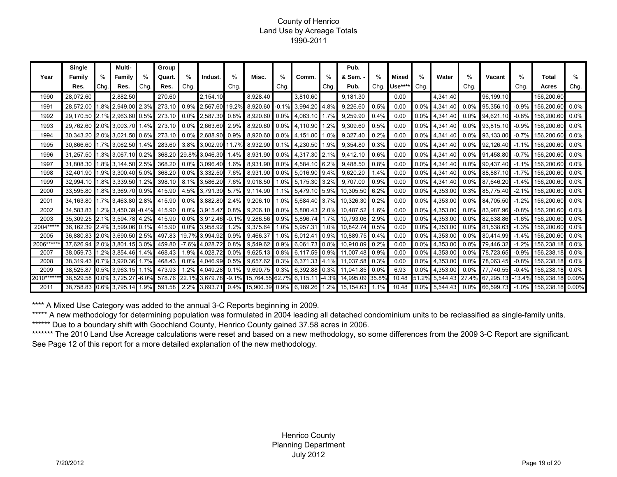#### County of Henrico Land Use by Acreage Totals 1990-2011

|            | Single                  |      | Multi-             |               | Group  |         |                |         |                 |         |               |         | Pub.            |      |                     |         |                |         |                 |          |            |          |
|------------|-------------------------|------|--------------------|---------------|--------|---------|----------------|---------|-----------------|---------|---------------|---------|-----------------|------|---------------------|---------|----------------|---------|-----------------|----------|------------|----------|
| Year       | Family                  |      | Family             | $\frac{0}{0}$ | Quart. | %       | Indust.        | $\%$    | Misc.           | %       | Comm.         | %       | & Sem. -        | %    | Mixed               | %       | Water          | $\%$    | Vacant          | $\%$     | Total      | $\%$     |
|            | Res.                    | Chg. | Res.               | Chg.          | Res.   | Chg.    |                | Chg.    |                 | Chg.    |               | Chg.    | Pub.            | Chg. | Use*** <sup>*</sup> | Chg.    |                | Chg.    |                 | Chg.     | Acres      | Chg.     |
| 1990       | 28,072.60               |      | 2,882.50           |               | 270.60 |         | 2,154.10       |         | 8.928.40        |         | 3.810.60      |         | 9,181.30        |      | 0.00                |         | 4,341.40       |         | 96.199.10       |          | 156,200.60 |          |
| 1991       | 28,572.00               | 1.8% | 2.949.00           | 2.3%          | 273.10 | 0.9%    | 2,567.60       | 19.2%   | 8.920.60        | $-0.1%$ | 3,994.20      | 4.8%    | 9,226.60        | 0.5% | 0.00                | 0.0%    | 4,341.40       | $0.0\%$ | 95,356.1        | $-0.9%$  | 156,200.60 | 0.0%     |
| 1992       | 29,170.50               | 2.1% | 2,963.60 0.5%      |               | 273.10 | $0.0\%$ | 2,587.30       | 0.8%    | 8.920.60        | $0.0\%$ | 4,063.10      | 1.7%    | 9,259.90        | 0.4% | 0.00                | 0.0%    | 4,341.40       | 0.0%    | 94,621.10       | $-0.8%$  | 156,200.60 | 0.0%     |
| 1993       | 29.762.60 2.0% 3.003.70 |      |                    | 1.4%          | 273.10 | $0.0\%$ | 2.663.60       | 2.9%    | 8.920.60        | $0.0\%$ | 4,110.90      | 1.2%    | 9.309.60        | 0.5% | 0.00                | 0.0%    | 4.341.40       | $0.0\%$ | 93,815.10       | $-0.9%$  | 156.200.60 | 0.0%     |
| 1994       | 30.343.20               |      | 2.0% 3.021.50 0.6% |               | 273.10 | $0.0\%$ | 2,688.90       | 0.9%    | 8.920.60        | $0.0\%$ | 4.151.80      | 1.0%    | 9.327.40        | 0.2% | 0.00                | $0.0\%$ | 4.341.40       | $0.0\%$ | 93,133.80       | $-0.7%$  | 156,200.60 | 0.0%     |
| 1995       | 30.866.60               |      | 1.7% 3.062.50      | 1.4%          | 283.60 | $3.8\%$ | 3.002.90       | 11.7%   | 8.932.90        | 0.1%    | 4,230.50      | 1.9%    | 9.354.80        | 0.3% | 0.00                | 0.0%    | 4,341.40       | 0.0%    | 92.126.40       | $-1.1\%$ | 156,200.60 | 0.0%     |
| 1996       | 31.257.50               |      | 1.3% 3.067.10 0.2% |               | 368.20 | 29.8%   | 3,046.30       | 1.4%    | 8.931.90        | $0.0\%$ | 4,317.30 2.1% |         | 9.412.10        | 0.6% | 0.00                | 0.0%    | 4.341.40       | 0.0%    | 91,458.80       | $-0.7%$  | 156,200.60 | 0.0%     |
| 1997       | 31.808.30               |      | .8% 3,144.50 2.5%  |               | 368.20 | $0.0\%$ | 3.096.40       | 1.6%    | 8.931.90        | $0.0\%$ | 4,584.10 6.2% |         | 9.488.50        | 0.8% | 0.00                | 0.0%    | 4.341.40       | 0.0%    | 90.437.40       | $-1.1%$  | 156.200.60 | 0.0%     |
| 1998       | 32.401.90               | 1.9% | 3.300.40 5.0%      |               | 368.20 | 0.0%    | 3,332.50       | 7.6%    | 8.931.90        | 0.0%    | 5,016.90 9.4% |         | 9.620.20        | 1.4% | 0.00                | 0.0%    | 4,341.40       | 0.0%    | 88.887.10       | $-1.7%$  | 156,200.60 | 0.0%     |
| 1999       | 32.994.10               |      | .8% 3.339.50       | 1.2%          | 398.10 | 8.1%    | 3,586.20       | 7.6%    | 9.018.50        | .0%     | 5.175.30 3.2% |         | 9.707.00        | 0.9% | 0.00                | 0.0%    | 4.341.40       | 0.0%    | 87,646.20       | $-1.4%$  | 156.200.60 | 0.0%     |
| 2000       | 33,595.80               | .8%  | 3.369.70           | 0.9%          | 415.90 | 4.5%    | 3,791.30       | 5.7%    | 9,114.90        | $.1\%$  | 5,479.10 5.9% |         | 10,305.50       | 6.2% | 0.00                | 0.0%    | 4,353.00       | 0.3%    | 85,775.40       | $-2.1%$  | 156,200.60 | 0.0%     |
| 2001       | 34.163.80               |      | 3.463.80           | 2.8%          | 415.90 | 0.0%    | 3.882.80       | 2.4%    | 9.206.10        | 1.0%    | 5.684.40 3.7% |         | 10.326.30       | 0.2% | 0.00                | 0.0%    | 4.353.00       | 0.0%    | 84.705.50       | $-1.2%$  | 156.200.60 | 0.0%     |
| 2002       | 34.583.83               |      | 3.450.39           | $-0.4%$       | 415.90 | 0.0%    | 3.915.47       | 0.8%    | 9.206.10        | $0.0\%$ | 5.800.43 2.0% |         | 10,487.52       | 1.6% | 0.00                | 0.0%    | 4.353.00       | 0.0%    | 83.987.96       | $-0.8%$  | 156.200.60 | 0.0%     |
| 2003       | 35.309.25               | 2.1% | 3.594.78           | 4.2%          | 415.90 | 0.0%    | 3.912.46       | $-0.1%$ | 9.286.56        | 0.9%    | 5.896.74      | 1.7%    | 10.793.06       | 2.9% | 0.00                | 0.0%    | 4.353.00       | 0.0%    | 82.638.86       | $-1.6%$  | 156,200.60 | 0.0%     |
| 2004****   | 36.162.39               | 2.4% | 3.599.06           | 0.1%          | 415.90 | $0.0\%$ | 3.958.92       | 1.2%    | 9.375.64        | $.0\%$  | 5,957.3'      | 1.0%    | 10.842.74       | 0.5% | 0.00                | 0.0%    | 4.353.00       | 0.0%    | 81.538.63       | $-1.3%$  | 156.200.6  | 0.0%     |
| 2005       | 36.880.83               | 2.0% | 3.690.50           | 2.5%          | 497.83 | 19.7%   | 3.994.92       | 0.9%    | 9.466.37        | .0%     | 6.012.4       | 0.9%    | 10.889.75       | 0.4% | 0.00                | 0.0%    | 4.353.00       | $0.0\%$ | 80,414.99       | $-1.4%$  | 156.200.60 | 0.0%     |
| 2006***    | 37,626.94               | 2.0% | 3.801.15           | 3.0%          | 459.80 | $-7.6%$ | 4,028.72       | 0.8%    | 9,549.62        | 0.9%    | 6.061.73      | 0.8%    | 10.910.89       | 0.2% | 0.00                | 0.0%    | 4,353.00       | 0.0%    | 79,446.32       | $-1.2%$  | 156,238.18 | 0.0%     |
| 2007       | 38.059.73               |      | .2% 3.854.46       | 1.4%          | 468.43 | l.9%    | 4,028.72       | 0.0%    | 9,625.13        | 0.8%    | 6.117.59      | 0.9%    | 11.007.48       | 0.9% | 0.00                | 0.0%    | 4.353.00       | 0.0%    | 78,723.65       | $-0.9%$  | 156.238.1  | 0.0%     |
| 2008       | 38.319.43               | 0.7% | 3.920.36           | 1.7%          | 468.43 | 0.0%    | 4,046.99       | 0.5%    | 9.657.62        | 0.3%    | 6.371.33 4.1% |         | 11,037.58       | 0.3% | 0.00                | 0.0%    | 4,353.00       | 0.0%    | 78,063.45       | $-0.8%$  | 156,238.1  | 0.0%     |
| 2009       | 38.525.87               |      | 0.5% 3.963.15      | 1.1%          | 473.93 | 1.2%    | 4,049.28       | 0.1%    | 9.690.75        | 0.3%    | 6.392.88      | 0.3%    | 11.041.85       | 0.0% | 6.93                | 0.0%    | 4.353.00       | 0.0%    | 77,740.55       | $-0.4%$  | 156,238.18 | 0.0%     |
| 2010****** | 38,529.58               |      | 0.0% 3,725.27      | $-6.0%$       | 578.76 |         | 22.1% 3,679.78 | $-9.1%$ | 15,764.55 62.7% |         | 6,115.11      | $-4.3%$ | 14,995.09 35.8% |      | 10.48               |         | 51.2% 5,544.43 |         | 27.4% 67,295.13 | $-13.4%$ | 156.238.18 | $0.00\%$ |
| 2011       | 38.758.83               |      | 0.6% 3.795.14 1.9% |               | 591.58 | 2.2%    | 3,693.71       |         | 0.4% 15,900.39  | 0.9%    | 6,189.26      | 1.2%    | 15,154.63       | 1.1% | 10.48               |         | 0.0% 5,544.43  | $0.0\%$ | 66,599.73       | $-1.0\%$ | 156,238.18 | $0.00\%$ |

\*\*\*\* A Mixed Use Category was added to the annual 3-C Reports beginning in 2009.

\*\*\*\*\*\* Due to a boundary shift with Goochland County, Henrico County gained 37.58 acres in 2006. \*\*\*\*\* A new methodology for determining population was formulated in 2004 leading all detached condominium units to be reclassified as single-family units.

\*\*\*\*\*\*\* The 2010 Land Use Acreage calculations were reset and based on a new methodology, so some differences from the 2009 3-C Report are significant. See Page 12 of this report for a more detailed explanation of the new methodology.